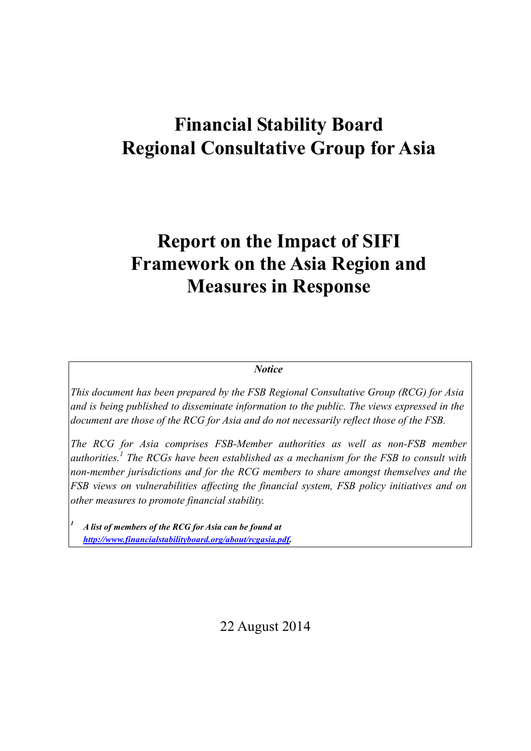# **Financial Stability Board Regional Consultative Group for Asia**

# **Report on the Impact of SIFI Framework on the Asia Region and Measures in Response**

#### *Notice*

*This document has been prepared by the FSB Regional Consultative Group (RCG) for Asia and is being published to disseminate information to the public. The views expressed in the document are those of the RCG for Asia and do not necessarily reflect those of the FSB.*

*The RCG for Asia comprises FSB-Member authorities as well as non-FSB member authorities. <sup>1</sup> The RCGs have been established as a mechanism for the FSB to consult with non-member jurisdictions and for the RCG members to share amongst themselves and the FSB views on vulnerabilities affecting the financial system, FSB policy initiatives and on other measures to promote financial stability.*

*1 A list of members of the RCG for Asia can be found at [http://www.financialstabilityboard.org/about/rcgasia.pdf.](http://www.financialstabilityboard.org/about/rcgasia.pdf)*

22 August 2014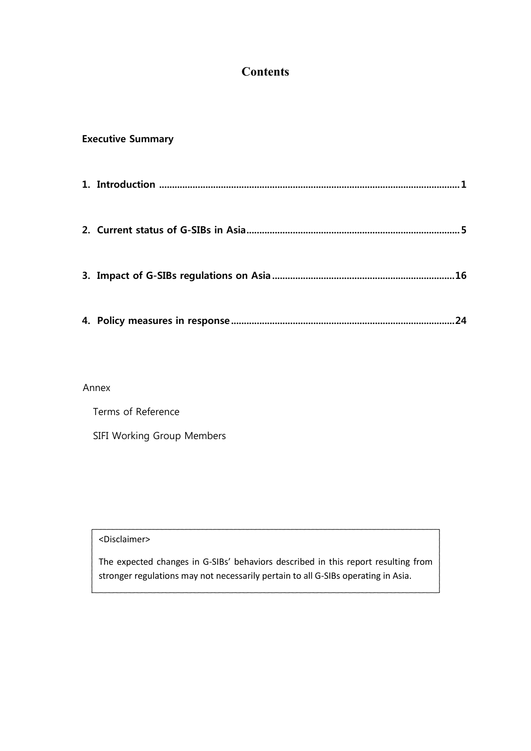# **Contents**

# **Executive Summary**

|  | 16 |
|--|----|
|  |    |
|  | 24 |

#### Annex

| Terms of Reference         |  |
|----------------------------|--|
| SIFI Working Group Members |  |

<Disclaimer>

The expected changes in G-SIBs' behaviors described in this report resulting from stronger regulations may not necessarily pertain to all G-SIBs operating in Asia.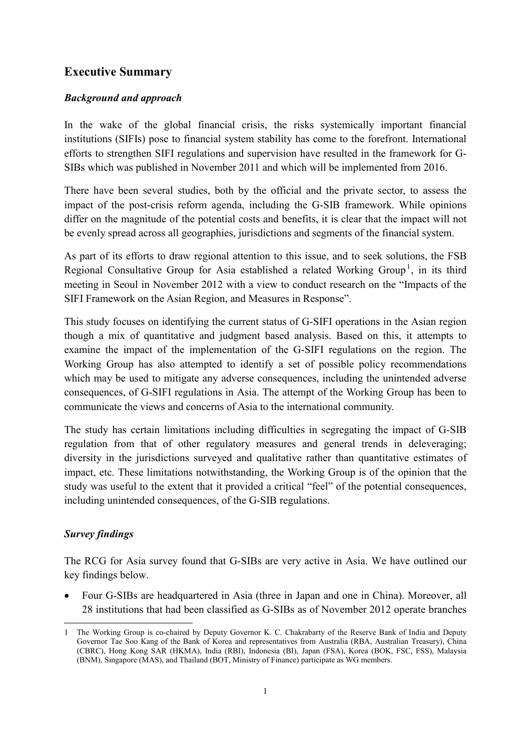# **Executive Summary**

## *Background and approach*

In the wake of the global financial crisis, the risks systemically important financial institutions (SIFIs) pose to financial system stability has come to the forefront. International efforts to strengthen SIFI regulations and supervision have resulted in the framework for G-SIBs which was published in November 2011 and which will be implemented from 2016.

There have been several studies, both by the official and the private sector, to assess the impact of the post-crisis reform agenda, including the G-SIB framework. While opinions differ on the magnitude of the potential costs and benefits, it is clear that the impact will not be evenly spread across all geographies, jurisdictions and segments of the financial system.

As part of its efforts to draw regional attention to this issue, and to seek solutions, the FSB Regional Consultative Group for Asia established a related Working Group<sup>[1](#page-2-0)</sup>, in its third meeting in Seoul in November 2012 with a view to conduct research on the "Impacts of the SIFI Framework on the Asian Region, and Measures in Response".

This study focuses on identifying the current status of G-SIFI operations in the Asian region though a mix of quantitative and judgment based analysis. Based on this, it attempts to examine the impact of the implementation of the G-SIFI regulations on the region. The Working Group has also attempted to identify a set of possible policy recommendations which may be used to mitigate any adverse consequences, including the unintended adverse consequences, of G-SIFI regulations in Asia. The attempt of the Working Group has been to communicate the views and concerns of Asia to the international community.

The study has certain limitations including difficulties in segregating the impact of G-SIB regulation from that of other regulatory measures and general trends in deleveraging; diversity in the jurisdictions surveyed and qualitative rather than quantitative estimates of impact, etc. These limitations notwithstanding, the Working Group is of the opinion that the study was useful to the extent that it provided a critical "feel" of the potential consequences, including unintended consequences, of the G-SIB regulations.

# *Survey findings*

The RCG for Asia survey found that G-SIBs are very active in Asia. We have outlined our key findings below.

• Four G-SIBs are headquartered in Asia (three in Japan and one in China). Moreover, all 28 institutions that had been classified as G-SIBs as of November 2012 operate branches

<span id="page-2-0"></span><sup>1</sup> The Working Group is co-chaired by Deputy Governor K. C. Chakrabarty of the Reserve Bank of India and Deputy Governor Tae Soo Kang of the Bank of Korea and representatives from Australia (RBA, Australian Treasury), China (CBRC), Hong Kong SAR (HKMA), India (RBI), Indonesia (BI), Japan (FSA), Korea (BOK, FSC, FSS), Malaysia (BNM), Singapore (MAS), and Thailand (BOT, Ministry of Finance) participate as WG members. **.**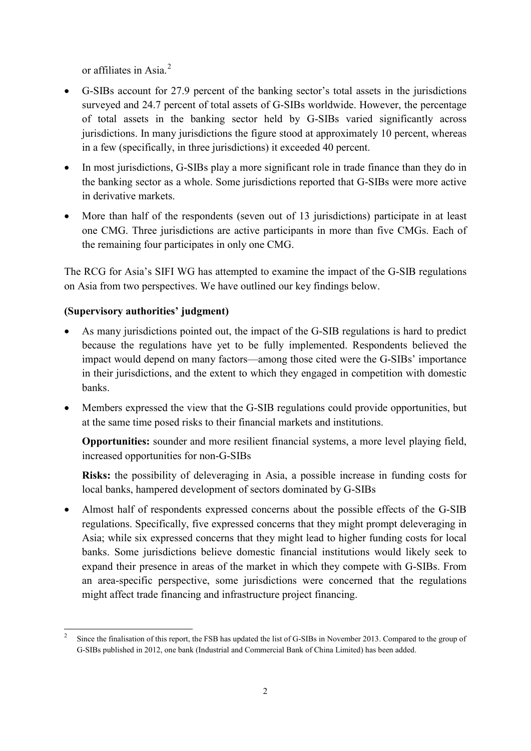or affiliates in Asia.<sup>[2](#page-3-0)</sup>

- G-SIBs account for 27.9 percent of the banking sector's total assets in the jurisdictions surveyed and 24.7 percent of total assets of G-SIBs worldwide. However, the percentage of total assets in the banking sector held by G-SIBs varied significantly across jurisdictions. In many jurisdictions the figure stood at approximately 10 percent, whereas in a few (specifically, in three jurisdictions) it exceeded 40 percent.
- In most jurisdictions, G-SIBs play a more significant role in trade finance than they do in the banking sector as a whole. Some jurisdictions reported that G-SIBs were more active in derivative markets.
- More than half of the respondents (seven out of 13 jurisdictions) participate in at least one CMG. Three jurisdictions are active participants in more than five CMGs. Each of the remaining four participates in only one CMG.

The RCG for Asia's SIFI WG has attempted to examine the impact of the G-SIB regulations on Asia from two perspectives. We have outlined our key findings below.

# **(Supervisory authorities' judgment)**

1

- As many jurisdictions pointed out, the impact of the G-SIB regulations is hard to predict because the regulations have yet to be fully implemented. Respondents believed the impact would depend on many factors—among those cited were the G-SIBs' importance in their jurisdictions, and the extent to which they engaged in competition with domestic banks.
- Members expressed the view that the G-SIB regulations could provide opportunities, but at the same time posed risks to their financial markets and institutions.

**Opportunities:** sounder and more resilient financial systems, a more level playing field, increased opportunities for non-G-SIBs

**Risks:** the possibility of deleveraging in Asia, a possible increase in funding costs for local banks, hampered development of sectors dominated by G-SIBs

• Almost half of respondents expressed concerns about the possible effects of the G-SIB regulations. Specifically, five expressed concerns that they might prompt deleveraging in Asia; while six expressed concerns that they might lead to higher funding costs for local banks. Some jurisdictions believe domestic financial institutions would likely seek to expand their presence in areas of the market in which they compete with G-SIBs. From an area-specific perspective, some jurisdictions were concerned that the regulations might affect trade financing and infrastructure project financing.

<span id="page-3-0"></span><sup>2</sup> Since the finalisation of this report, the FSB has updated the list of G-SIBs in November 2013. Compared to the group of G-SIBs published in 2012, one bank (Industrial and Commercial Bank of China Limited) has been added.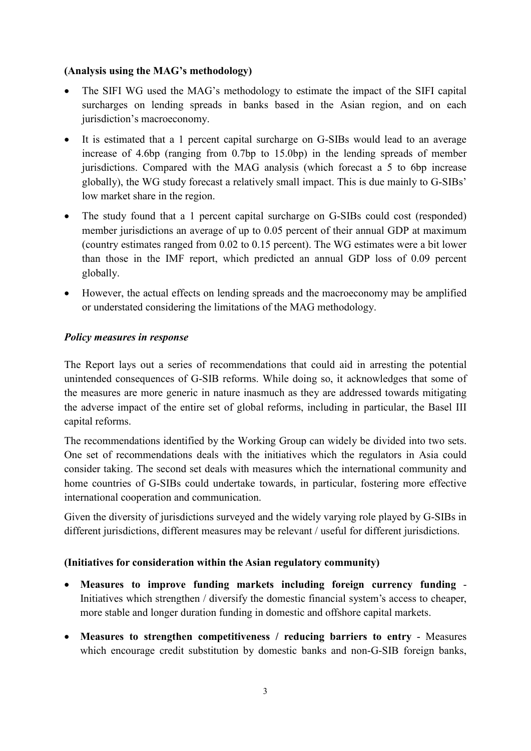## **(Analysis using the MAG's methodology)**

- The SIFI WG used the MAG's methodology to estimate the impact of the SIFI capital surcharges on lending spreads in banks based in the Asian region, and on each jurisdiction's macroeconomy.
- It is estimated that a 1 percent capital surcharge on G-SIBs would lead to an average increase of 4.6bp (ranging from 0.7bp to 15.0bp) in the lending spreads of member jurisdictions. Compared with the MAG analysis (which forecast a 5 to 6bp increase globally), the WG study forecast a relatively small impact. This is due mainly to G-SIBs' low market share in the region.
- The study found that a 1 percent capital surcharge on G-SIBs could cost (responded) member jurisdictions an average of up to 0.05 percent of their annual GDP at maximum (country estimates ranged from 0.02 to 0.15 percent). The WG estimates were a bit lower than those in the IMF report, which predicted an annual GDP loss of 0.09 percent globally.
- However, the actual effects on lending spreads and the macroeconomy may be amplified or understated considering the limitations of the MAG methodology.

## *Policy measures in response*

The Report lays out a series of recommendations that could aid in arresting the potential unintended consequences of G-SIB reforms. While doing so, it acknowledges that some of the measures are more generic in nature inasmuch as they are addressed towards mitigating the adverse impact of the entire set of global reforms, including in particular, the Basel III capital reforms.

The recommendations identified by the Working Group can widely be divided into two sets. One set of recommendations deals with the initiatives which the regulators in Asia could consider taking. The second set deals with measures which the international community and home countries of G-SIBs could undertake towards, in particular, fostering more effective international cooperation and communication.

Given the diversity of jurisdictions surveyed and the widely varying role played by G-SIBs in different jurisdictions, different measures may be relevant / useful for different jurisdictions.

#### **(Initiatives for consideration within the Asian regulatory community)**

- **Measures to improve funding markets including foreign currency funding** Initiatives which strengthen / diversify the domestic financial system's access to cheaper, more stable and longer duration funding in domestic and offshore capital markets.
- **Measures to strengthen competitiveness / reducing barriers to entry** Measures which encourage credit substitution by domestic banks and non-G-SIB foreign banks,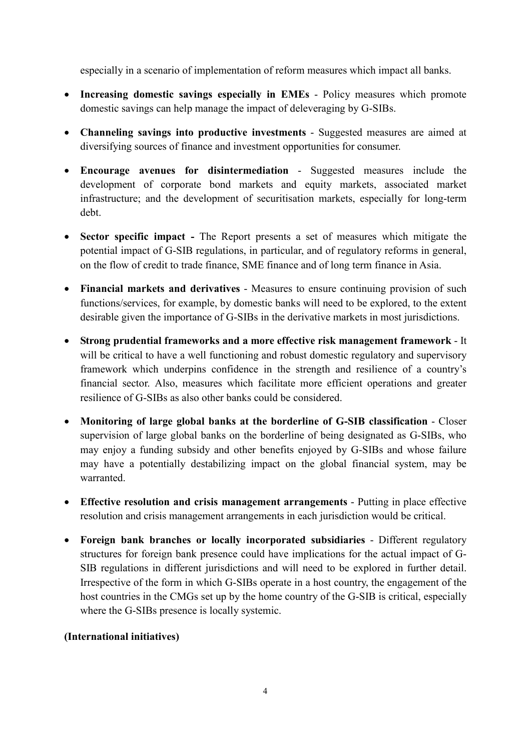especially in a scenario of implementation of reform measures which impact all banks.

- **Increasing domestic savings especially in EMEs** Policy measures which promote domestic savings can help manage the impact of deleveraging by G-SIBs.
- **Channeling savings into productive investments** Suggested measures are aimed at diversifying sources of finance and investment opportunities for consumer.
- **Encourage avenues for disintermediation** Suggested measures include the development of corporate bond markets and equity markets, associated market infrastructure; and the development of securitisation markets, especially for long-term debt.
- **Sector specific impact -** The Report presents a set of measures which mitigate the potential impact of G-SIB regulations, in particular, and of regulatory reforms in general, on the flow of credit to trade finance, SME finance and of long term finance in Asia.
- **Financial markets and derivatives** Measures to ensure continuing provision of such functions/services, for example, by domestic banks will need to be explored, to the extent desirable given the importance of G-SIBs in the derivative markets in most jurisdictions.
- **Strong prudential frameworks and a more effective risk management framework** It will be critical to have a well functioning and robust domestic regulatory and supervisory framework which underpins confidence in the strength and resilience of a country's financial sector. Also, measures which facilitate more efficient operations and greater resilience of G-SIBs as also other banks could be considered.
- **Monitoring of large global banks at the borderline of G-SIB classification** Closer supervision of large global banks on the borderline of being designated as G-SIBs, who may enjoy a funding subsidy and other benefits enjoyed by G-SIBs and whose failure may have a potentially destabilizing impact on the global financial system, may be warranted.
- **Effective resolution and crisis management arrangements** Putting in place effective resolution and crisis management arrangements in each jurisdiction would be critical.
- **Foreign bank branches or locally incorporated subsidiaries** Different regulatory structures for foreign bank presence could have implications for the actual impact of G-SIB regulations in different jurisdictions and will need to be explored in further detail. Irrespective of the form in which G-SIBs operate in a host country, the engagement of the host countries in the CMGs set up by the home country of the G-SIB is critical, especially where the G-SIBs presence is locally systemic.

## **(International initiatives)**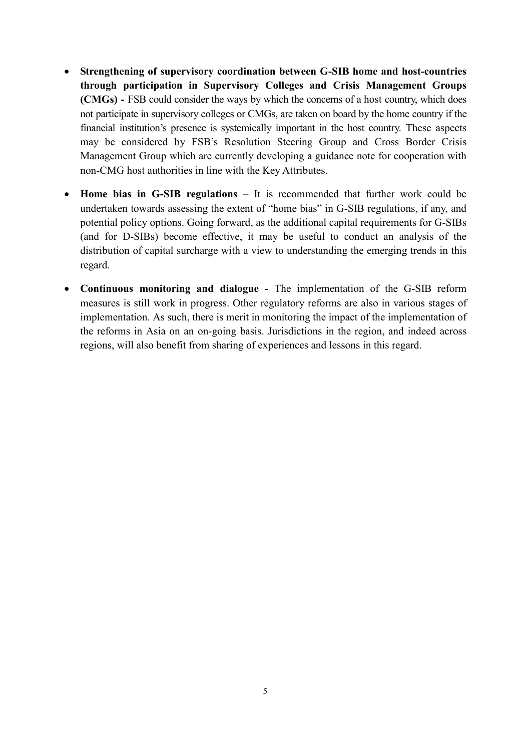- **Strengthening of supervisory coordination between G-SIB home and host-countries through participation in Supervisory Colleges and Crisis Management Groups (CMGs) -** FSB could consider the ways by which the concerns of a host country, which does not participate in supervisory colleges or CMGs, are taken on board by the home country if the financial institution's presence is systemically important in the host country. These aspects may be considered by FSB's Resolution Steering Group and Cross Border Crisis Management Group which are currently developing a guidance note for cooperation with non-CMG host authorities in line with the Key Attributes.
- **Home bias in G-SIB regulations –** It is recommended that further work could be undertaken towards assessing the extent of "home bias" in G-SIB regulations, if any, and potential policy options. Going forward, as the additional capital requirements for G-SIBs (and for D-SIBs) become effective, it may be useful to conduct an analysis of the distribution of capital surcharge with a view to understanding the emerging trends in this regard.
- **Continuous monitoring and dialogue -** The implementation of the G-SIB reform measures is still work in progress. Other regulatory reforms are also in various stages of implementation. As such, there is merit in monitoring the impact of the implementation of the reforms in Asia on an on-going basis. Jurisdictions in the region, and indeed across regions, will also benefit from sharing of experiences and lessons in this regard.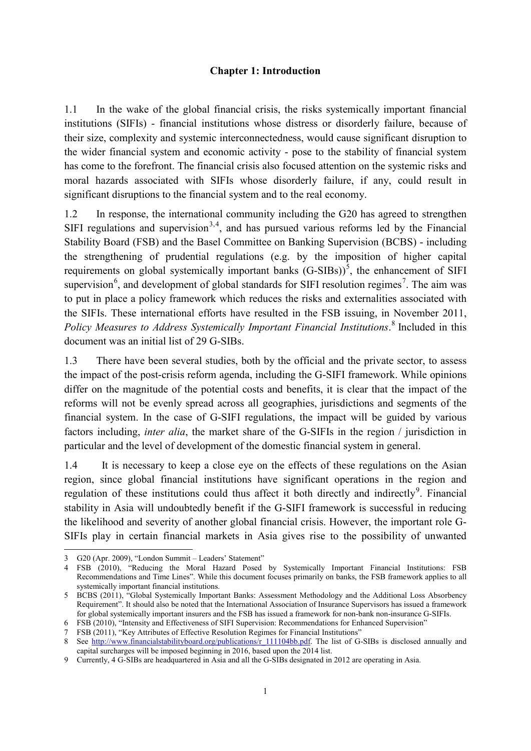#### **Chapter 1: Introduction**

1.1 In the wake of the global financial crisis, the risks systemically important financial institutions (SIFIs) - financial institutions whose distress or disorderly failure, because of their size, complexity and systemic interconnectedness, would cause significant disruption to the wider financial system and economic activity - pose to the stability of financial system has come to the forefront. The financial crisis also focused attention on the systemic risks and moral hazards associated with SIFIs whose disorderly failure, if any, could result in significant disruptions to the financial system and to the real economy.

1.2 In response, the international community including the G20 has agreed to strengthen SIFI regulations and supervision<sup>[3](#page-7-0),[4](#page-7-1)</sup>, and has pursued various reforms led by the Financial Stability Board (FSB) and the Basel Committee on Banking Supervision (BCBS) - including the strengthening of prudential regulations (e.g. by the imposition of higher capital requirements on global systemically important banks  $(G\text{-SIBs}))^5$  $(G\text{-SIBs}))^5$ , the enhancement of SIFI supervision<sup>[6](#page-7-3)</sup>, and development of global standards for SIFI resolution regimes<sup>[7](#page-7-4)</sup>. The aim was to put in place a policy framework which reduces the risks and externalities associated with the SIFIs. These international efforts have resulted in the FSB issuing, in November 2011, *Policy Measures to Address Systemically Important Financial Institutions*. [8](#page-7-5) Included in this document was an initial list of 29 G-SIBs.

1.3 There have been several studies, both by the official and the private sector, to assess the impact of the post-crisis reform agenda, including the G-SIFI framework. While opinions differ on the magnitude of the potential costs and benefits, it is clear that the impact of the reforms will not be evenly spread across all geographies, jurisdictions and segments of the financial system. In the case of G-SIFI regulations, the impact will be guided by various factors including, *inter alia*, the market share of the G-SIFIs in the region / jurisdiction in particular and the level of development of the domestic financial system in general.

1.4 It is necessary to keep a close eye on the effects of these regulations on the Asian region, since global financial institutions have significant operations in the region and regulation of these institutions could thus affect it both directly and indirectly<sup>[9](#page-7-6)</sup>. Financial stability in Asia will undoubtedly benefit if the G-SIFI framework is successful in reducing the likelihood and severity of another global financial crisis. However, the important role G-SIFIs play in certain financial markets in Asia gives rise to the possibility of unwanted

1

<span id="page-7-0"></span><sup>3</sup> G20 (Apr. 2009), "London Summit – Leaders' Statement"

<span id="page-7-1"></span><sup>4</sup> FSB (2010), "Reducing the Moral Hazard Posed by Systemically Important Financial Institutions: FSB Recommendations and Time Lines". While this document focuses primarily on banks, the FSB framework applies to all systemically important financial institutions.

<span id="page-7-2"></span><sup>5</sup> BCBS (2011), "Global Systemically Important Banks: Assessment Methodology and the Additional Loss Absorbency Requirement". It should also be noted that the International Association of Insurance Supervisors has issued a framework for global systemically important insurers and the FSB has issued a framework for non-bank non-insurance G-SIFIs.

<span id="page-7-3"></span><sup>6</sup> FSB (2010), "Intensity and Effectiveness of SIFI Supervision: Recommendations for Enhanced Supervision"

<sup>7</sup> FSB (2011), "Key Attributes of Effective Resolution Regimes for Financial Institutions"

<span id="page-7-5"></span><span id="page-7-4"></span><sup>8</sup> See [http://www.financialstabilityboard.org/publications/r\\_111104bb.pdf.](http://www.financialstabilityboard.org/publications/r_111104bb.pdf) The list of G-SIBs is disclosed annually and capital surcharges will be imposed beginning in 2016, based upon the 2014 list.

<span id="page-7-6"></span><sup>9</sup> Currently, 4 G-SIBs are headquartered in Asia and all the G-SIBs designated in 2012 are operating in Asia.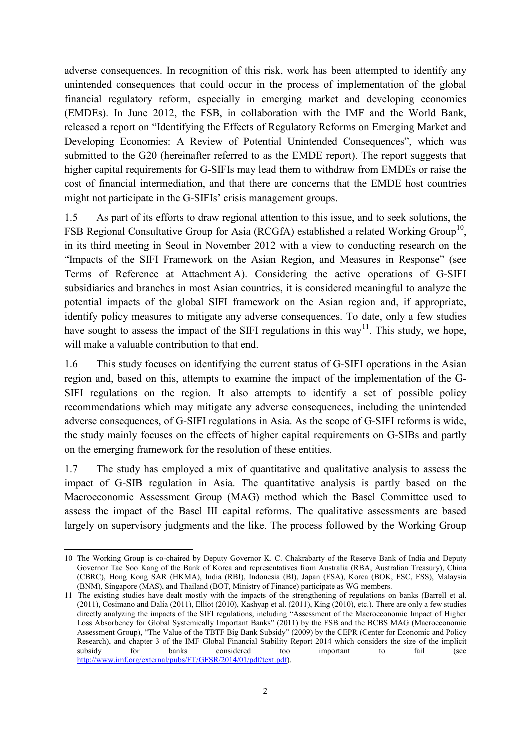adverse consequences. In recognition of this risk, work has been attempted to identify any unintended consequences that could occur in the process of implementation of the global financial regulatory reform, especially in emerging market and developing economies (EMDEs). In June 2012, the FSB, in collaboration with the IMF and the World Bank, released a report on "Identifying the Effects of Regulatory Reforms on Emerging Market and Developing Economies: A Review of Potential Unintended Consequences", which was submitted to the G20 (hereinafter referred to as the EMDE report). The report suggests that higher capital requirements for G-SIFIs may lead them to withdraw from EMDEs or raise the cost of financial intermediation, and that there are concerns that the EMDE host countries might not participate in the G-SIFIs' crisis management groups.

1.5 As part of its efforts to draw regional attention to this issue, and to seek solutions, the FSB Regional Consultative Group for Asia (RCGfA) established a related Working Group<sup>[10](#page-8-0)</sup>. in its third meeting in Seoul in November 2012 with a view to conducting research on the "Impacts of the SIFI Framework on the Asian Region, and Measures in Response" (see Terms of Reference at Attachment A). Considering the active operations of G-SIFI subsidiaries and branches in most Asian countries, it is considered meaningful to analyze the potential impacts of the global SIFI framework on the Asian region and, if appropriate, identify policy measures to mitigate any adverse consequences. To date, only a few studies have sought to assess the impact of the SIFI regulations in this way<sup>[11](#page-8-1)</sup>. This study, we hope, will make a valuable contribution to that end.

1.6 This study focuses on identifying the current status of G-SIFI operations in the Asian region and, based on this, attempts to examine the impact of the implementation of the G-SIFI regulations on the region. It also attempts to identify a set of possible policy recommendations which may mitigate any adverse consequences, including the unintended adverse consequences, of G-SIFI regulations in Asia. As the scope of G-SIFI reforms is wide, the study mainly focuses on the effects of higher capital requirements on G-SIBs and partly on the emerging framework for the resolution of these entities.

1.7 The study has employed a mix of quantitative and qualitative analysis to assess the impact of G-SIB regulation in Asia. The quantitative analysis is partly based on the Macroeconomic Assessment Group (MAG) method which the Basel Committee used to assess the impact of the Basel III capital reforms. The qualitative assessments are based largely on supervisory judgments and the like. The process followed by the Working Group

<span id="page-8-0"></span><sup>10</sup> The Working Group is co-chaired by Deputy Governor K. C. Chakrabarty of the Reserve Bank of India and Deputy Governor Tae Soo Kang of the Bank of Korea and representatives from Australia (RBA, Australian Treasury), China (CBRC), Hong Kong SAR (HKMA), India (RBI), Indonesia (BI), Japan (FSA), Korea (BOK, FSC, FSS), Malaysia (BNM), Singapore (MAS), and Thailand (BOT, Ministry of Finance) participate as WG members. 1

<span id="page-8-1"></span><sup>11</sup> The existing studies have dealt mostly with the impacts of the strengthening of regulations on banks (Barrell et al. (2011), Cosimano and Dalia (2011), Elliot (2010), Kashyap et al. (2011), King (2010), etc.). There are only a few studies directly analyzing the impacts of the SIFI regulations, including "Assessment of the Macroeconomic Impact of Higher Loss Absorbency for Global Systemically Important Banks" (2011) by the FSB and the BCBS MAG (Macroeconomic Assessment Group), "The Value of the TBTF Big Bank Subsidy" (2009) by the CEPR (Center for Economic and Policy Research), and chapter 3 of the IMF Global Financial Stability Report 2014 which considers the size of the implicit subsidy for banks considered too important to fail (see subsidy for banks considered too important to fail (see [http://www.imf.org/external/pubs/FT/GFSR/2014/01/pdf/text.pdf\)](http://www.imf.org/external/pubs/FT/GFSR/2014/01/pdf/text.pdf).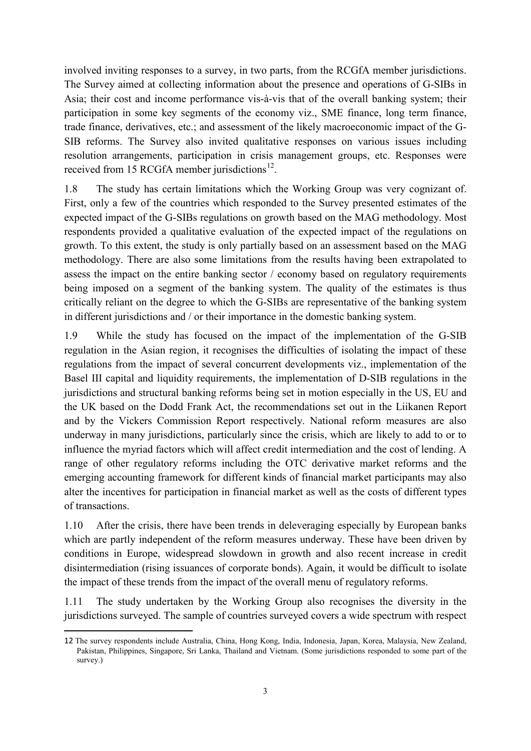involved inviting responses to a survey, in two parts, from the RCGfA member jurisdictions. The Survey aimed at collecting information about the presence and operations of G-SIBs in Asia; their cost and income performance vis-à-vis that of the overall banking system; their participation in some key segments of the economy viz., SME finance, long term finance, trade finance, derivatives, etc.; and assessment of the likely macroeconomic impact of the G-SIB reforms. The Survey also invited qualitative responses on various issues including resolution arrangements, participation in crisis management groups, etc. Responses were received from 15 RCGfA member jurisdictions $^{12}$ .

1.8 The study has certain limitations which the Working Group was very cognizant of. First, only a few of the countries which responded to the Survey presented estimates of the expected impact of the G-SIBs regulations on growth based on the MAG methodology. Most respondents provided a qualitative evaluation of the expected impact of the regulations on growth. To this extent, the study is only partially based on an assessment based on the MAG methodology. There are also some limitations from the results having been extrapolated to assess the impact on the entire banking sector / economy based on regulatory requirements being imposed on a segment of the banking system. The quality of the estimates is thus critically reliant on the degree to which the G-SIBs are representative of the banking system in different jurisdictions and / or their importance in the domestic banking system.

1.9 While the study has focused on the impact of the implementation of the G-SIB regulation in the Asian region, it recognises the difficulties of isolating the impact of these regulations from the impact of several concurrent developments viz., implementation of the Basel III capital and liquidity requirements, the implementation of D-SIB regulations in the jurisdictions and structural banking reforms being set in motion especially in the US, EU and the UK based on the Dodd Frank Act, the recommendations set out in the Liikanen Report and by the Vickers Commission Report respectively. National reform measures are also underway in many jurisdictions, particularly since the crisis, which are likely to add to or to influence the myriad factors which will affect credit intermediation and the cost of lending. A range of other regulatory reforms including the OTC derivative market reforms and the emerging accounting framework for different kinds of financial market participants may also alter the incentives for participation in financial market as well as the costs of different types of transactions.

1.10 After the crisis, there have been trends in deleveraging especially by European banks which are partly independent of the reform measures underway. These have been driven by conditions in Europe, widespread slowdown in growth and also recent increase in credit disintermediation (rising issuances of corporate bonds). Again, it would be difficult to isolate the impact of these trends from the impact of the overall menu of regulatory reforms.

1.11 The study undertaken by the Working Group also recognises the diversity in the jurisdictions surveyed. The sample of countries surveyed covers a wide spectrum with respect

**.** 

<span id="page-9-0"></span><sup>12</sup> The survey respondents include Australia, China, Hong Kong, India, Indonesia, Japan, Korea, Malaysia, New Zealand, Pakistan, Philippines, Singapore, Sri Lanka, Thailand and Vietnam. (Some jurisdictions responded to some part of the survey.)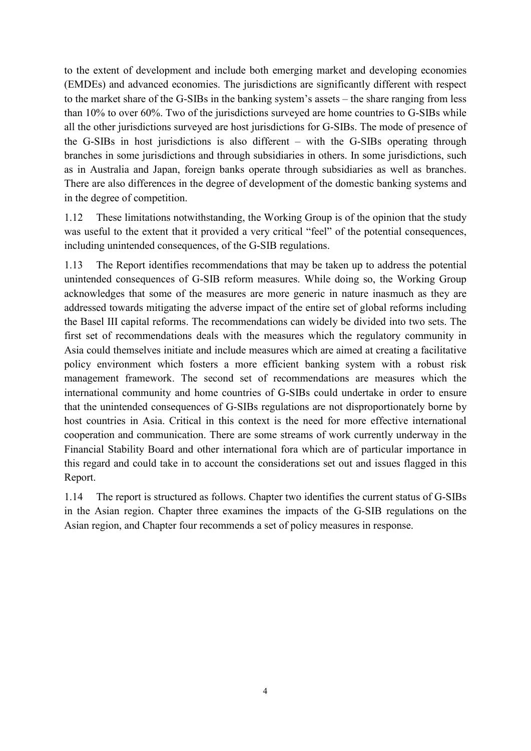to the extent of development and include both emerging market and developing economies (EMDEs) and advanced economies. The jurisdictions are significantly different with respect to the market share of the G-SIBs in the banking system's assets – the share ranging from less than 10% to over 60%. Two of the jurisdictions surveyed are home countries to G-SIBs while all the other jurisdictions surveyed are host jurisdictions for G-SIBs. The mode of presence of the G-SIBs in host jurisdictions is also different – with the G-SIBs operating through branches in some jurisdictions and through subsidiaries in others. In some jurisdictions, such as in Australia and Japan, foreign banks operate through subsidiaries as well as branches. There are also differences in the degree of development of the domestic banking systems and in the degree of competition.

1.12 These limitations notwithstanding, the Working Group is of the opinion that the study was useful to the extent that it provided a very critical "feel" of the potential consequences, including unintended consequences, of the G-SIB regulations.

1.13 The Report identifies recommendations that may be taken up to address the potential unintended consequences of G-SIB reform measures. While doing so, the Working Group acknowledges that some of the measures are more generic in nature inasmuch as they are addressed towards mitigating the adverse impact of the entire set of global reforms including the Basel III capital reforms. The recommendations can widely be divided into two sets. The first set of recommendations deals with the measures which the regulatory community in Asia could themselves initiate and include measures which are aimed at creating a facilitative policy environment which fosters a more efficient banking system with a robust risk management framework. The second set of recommendations are measures which the international community and home countries of G-SIBs could undertake in order to ensure that the unintended consequences of G-SIBs regulations are not disproportionately borne by host countries in Asia. Critical in this context is the need for more effective international cooperation and communication. There are some streams of work currently underway in the Financial Stability Board and other international fora which are of particular importance in this regard and could take in to account the considerations set out and issues flagged in this Report.

1.14 The report is structured as follows. Chapter two identifies the current status of G-SIBs in the Asian region. Chapter three examines the impacts of the G-SIB regulations on the Asian region, and Chapter four recommends a set of policy measures in response.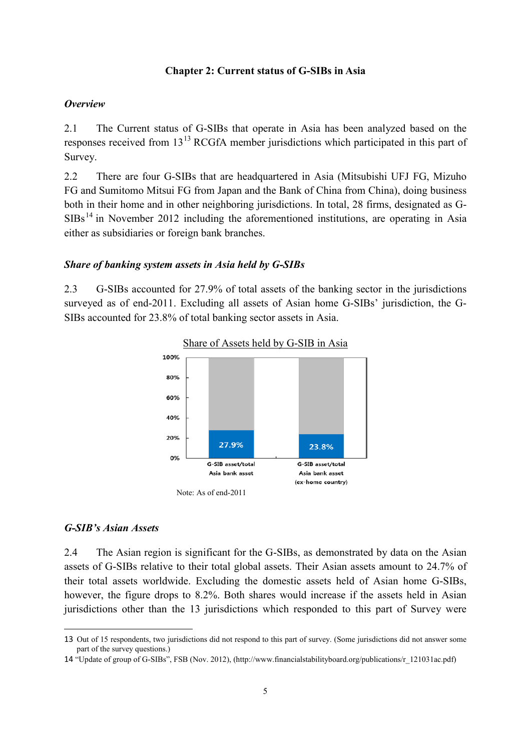#### **Chapter 2: Current status of G-SIBs in Asia**

#### *Overview*

2.1 The Current status of G-SIBs that operate in Asia has been analyzed based on the responses received from [13](#page-11-0)<sup>13</sup> RCGfA member jurisdictions which participated in this part of Survey.

2.2 There are four G-SIBs that are headquartered in Asia (Mitsubishi UFJ FG, Mizuho FG and Sumitomo Mitsui FG from Japan and the Bank of China from China), doing business both in their home and in other neighboring jurisdictions. In total, 28 firms, designated as G- $SIBs<sup>14</sup>$  $SIBs<sup>14</sup>$  $SIBs<sup>14</sup>$  in November 2012 including the aforementioned institutions, are operating in Asia either as subsidiaries or foreign bank branches.

#### *Share of banking system assets in Asia held by G-SIBs*

2.3 G-SIBs accounted for 27.9% of total assets of the banking sector in the jurisdictions surveyed as of end-2011. Excluding all assets of Asian home G-SIBs' jurisdiction, the G-SIBs accounted for 23.8% of total banking sector assets in Asia.





#### *G-SIB's Asian Assets*

**.** 

2.4 The Asian region is significant for the G-SIBs, as demonstrated by data on the Asian assets of G-SIBs relative to their total global assets. Their Asian assets amount to 24.7% of their total assets worldwide. Excluding the domestic assets held of Asian home G-SIBs, however, the figure drops to 8.2%. Both shares would increase if the assets held in Asian jurisdictions other than the 13 jurisdictions which responded to this part of Survey were

<span id="page-11-0"></span><sup>13</sup> Out of 15 respondents, two jurisdictions did not respond to this part of survey. (Some jurisdictions did not answer some part of the survey questions.)

<span id="page-11-1"></span><sup>14</sup> "Update of group of G-SIBs", FSB (Nov. 2012), (http://www.financialstabilityboard.org/publications/r\_121031ac.pdf)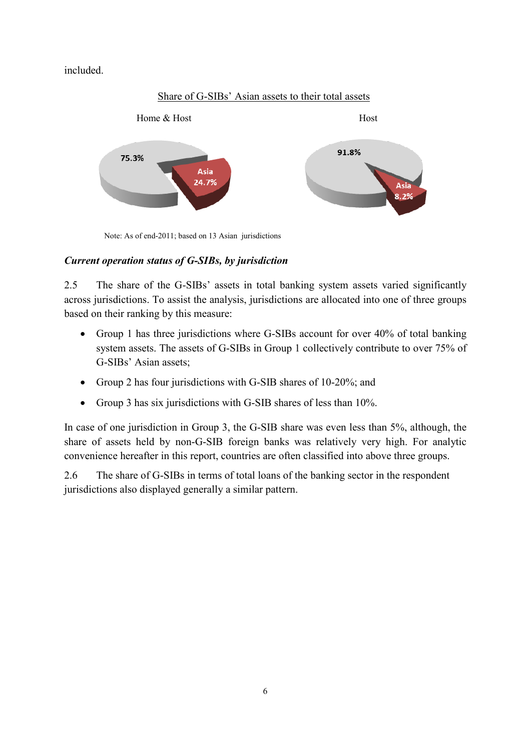included.



Note: As of end-2011; based on 13 Asian jurisdictions

# *Current operation status of G-SIBs, by jurisdiction*

2.5 The share of the G-SIBs' assets in total banking system assets varied significantly across jurisdictions. To assist the analysis, jurisdictions are allocated into one of three groups based on their ranking by this measure:

- Group 1 has three jurisdictions where G-SIBs account for over 40% of total banking system assets. The assets of G-SIBs in Group 1 collectively contribute to over 75% of G-SIBs' Asian assets;
- Group 2 has four jurisdictions with G-SIB shares of 10-20%; and
- Group 3 has six jurisdictions with G-SIB shares of less than 10%.

In case of one jurisdiction in Group 3, the G-SIB share was even less than 5%, although, the share of assets held by non-G-SIB foreign banks was relatively very high. For analytic convenience hereafter in this report, countries are often classified into above three groups.

2.6 The share of G-SIBs in terms of total loans of the banking sector in the respondent jurisdictions also displayed generally a similar pattern.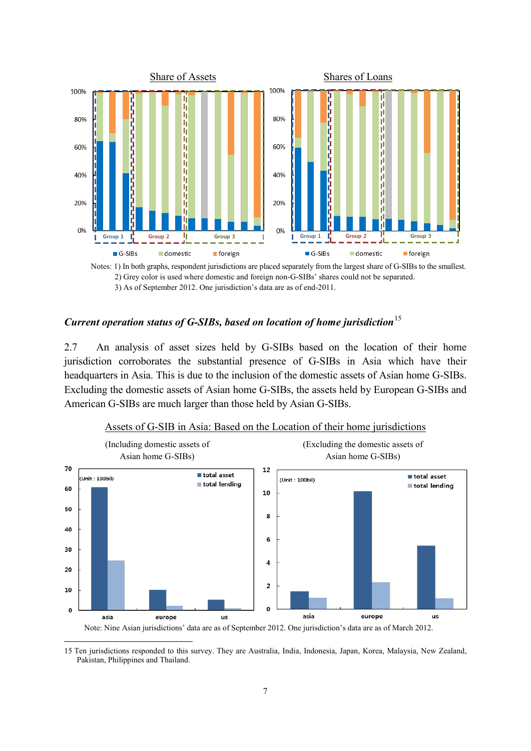

Notes: 1) In both graphs, respondent jurisdictions are placed separately from the largest share of G-SIBs to the smallest. 2) Grey color is used where domestic and foreign non-G-SIBs' shares could not be separated. 3) As of September 2012. One jurisdiction's data are as of end-2011.

# *Current operation status of G-SIBs, based on location of home jurisdiction*<sup>[15](#page-13-0)</sup>

2.7 An analysis of asset sizes held by G-SIBs based on the location of their home jurisdiction corroborates the substantial presence of G-SIBs in Asia which have their headquarters in Asia. This is due to the inclusion of the domestic assets of Asian home G-SIBs. Excluding the domestic assets of Asian home G-SIBs, the assets held by European G-SIBs and American G-SIBs are much larger than those held by Asian G-SIBs.



Assets of G-SIB in Asia: Based on the Location of their home jurisdictions

Note: Nine Asian jurisdictions' data are as of September 2012. One jurisdiction's data are as of March 2012.

<span id="page-13-0"></span><sup>15</sup> Ten jurisdictions responded to this survey. They are Australia, India, Indonesia, Japan, Korea, Malaysia, New Zealand, Pakistan, Philippines and Thailand. 1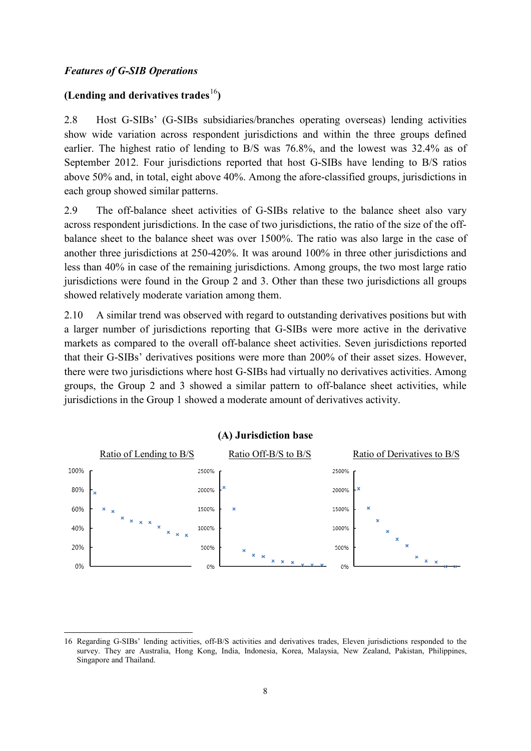## *Features of G-SIB Operations*

## **(Lending and derivatives trades**[16](#page-14-0)**)**

2.8 Host G-SIBs' (G-SIBs subsidiaries/branches operating overseas) lending activities show wide variation across respondent jurisdictions and within the three groups defined earlier. The highest ratio of lending to B/S was 76.8%, and the lowest was 32.4% as of September 2012. Four jurisdictions reported that host G-SIBs have lending to B/S ratios above 50% and, in total, eight above 40%. Among the afore-classified groups, jurisdictions in each group showed similar patterns.

2.9 The off-balance sheet activities of G-SIBs relative to the balance sheet also vary across respondent jurisdictions. In the case of two jurisdictions, the ratio of the size of the offbalance sheet to the balance sheet was over 1500%. The ratio was also large in the case of another three jurisdictions at 250-420%. It was around 100% in three other jurisdictions and less than 40% in case of the remaining jurisdictions. Among groups, the two most large ratio jurisdictions were found in the Group 2 and 3. Other than these two jurisdictions all groups showed relatively moderate variation among them.

2.10 A similar trend was observed with regard to outstanding derivatives positions but with a larger number of jurisdictions reporting that G-SIBs were more active in the derivative markets as compared to the overall off-balance sheet activities. Seven jurisdictions reported that their G-SIBs' derivatives positions were more than 200% of their asset sizes. However, there were two jurisdictions where host G-SIBs had virtually no derivatives activities. Among groups, the Group 2 and 3 showed a similar pattern to off-balance sheet activities, while jurisdictions in the Group 1 showed a moderate amount of derivatives activity.



<span id="page-14-0"></span><sup>16</sup> Regarding G-SIBs' lending activities, off-B/S activities and derivatives trades, Eleven jurisdictions responded to the survey. They are Australia, Hong Kong, India, Indonesia, Korea, Malaysia, New Zealand, Pakistan, Philippines, Singapore and Thailand. **.**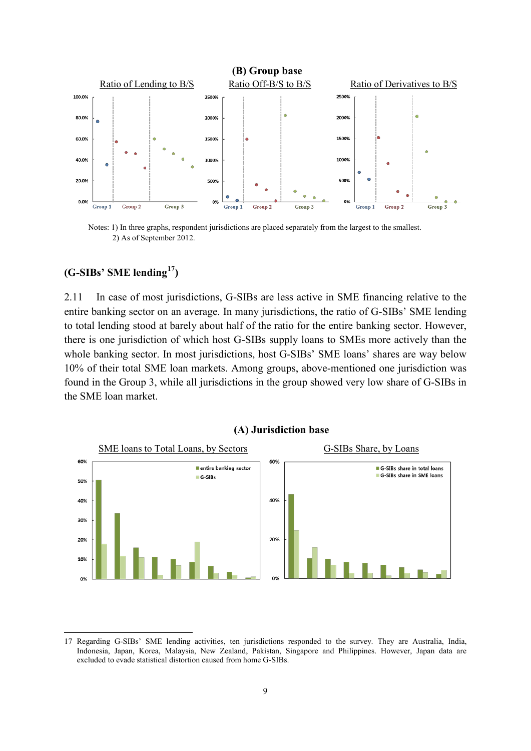

Notes: 1) In three graphs, respondent jurisdictions are placed separately from the largest to the smallest. 2) As of September 2012.

# **(G-SIBs' SME lending[17](#page-15-0))**

2.11 In case of most jurisdictions, G-SIBs are less active in SME financing relative to the entire banking sector on an average. In many jurisdictions, the ratio of G-SIBs' SME lending to total lending stood at barely about half of the ratio for the entire banking sector. However, there is one jurisdiction of which host G-SIBs supply loans to SMEs more actively than the whole banking sector. In most jurisdictions, host G-SIBs' SME loans' shares are way below 10% of their total SME loan markets. Among groups, above-mentioned one jurisdiction was found in the Group 3, while all jurisdictions in the group showed very low share of G-SIBs in the SME loan market.



<span id="page-15-0"></span><sup>17</sup> Regarding G-SIBs' SME lending activities, ten jurisdictions responded to the survey. They are Australia, India, Indonesia, Japan, Korea, Malaysia, New Zealand, Pakistan, Singapore and Philippines. However, Japan data are excluded to evade statistical distortion caused from home G-SIBs. **.**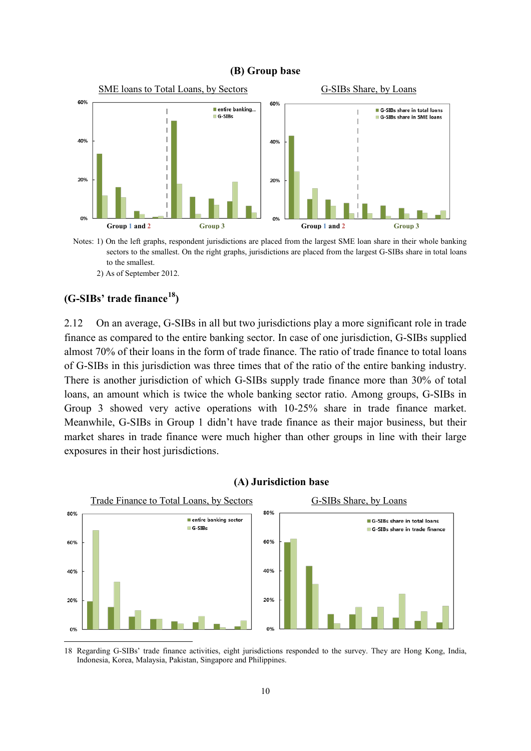#### **(B) Group base**



Notes: 1) On the left graphs, respondent jurisdictions are placed from the largest SME loan share in their whole banking sectors to the smallest. On the right graphs, jurisdictions are placed from the largest G-SIBs share in total loans to the smallest. 2) As of September 2012.

#### **(G-SIBs' trade finance[18\)](#page-16-0)**

1

2.12 On an average, G-SIBs in all but two jurisdictions play a more significant role in trade finance as compared to the entire banking sector. In case of one jurisdiction, G-SIBs supplied almost 70% of their loans in the form of trade finance. The ratio of trade finance to total loans of G-SIBs in this jurisdiction was three times that of the ratio of the entire banking industry. There is another jurisdiction of which G-SIBs supply trade finance more than 30% of total loans, an amount which is twice the whole banking sector ratio. Among groups, G-SIBs in Group 3 showed very active operations with 10-25% share in trade finance market. Meanwhile, G-SIBs in Group 1 didn't have trade finance as their major business, but their market shares in trade finance were much higher than other groups in line with their large exposures in their host jurisdictions.



#### **(A) Jurisdiction base**

<span id="page-16-0"></span>18 Regarding G-SIBs' trade finance activities, eight jurisdictions responded to the survey. They are Hong Kong, India, Indonesia, Korea, Malaysia, Pakistan, Singapore and Philippines.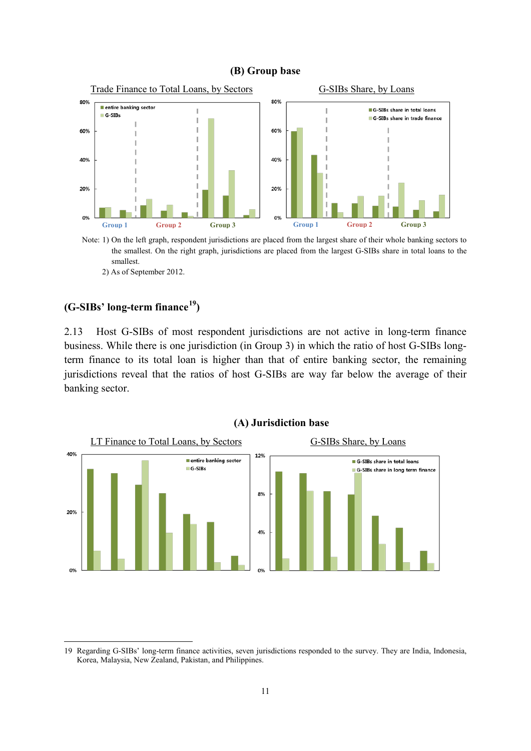#### **(B) Group base**



Note: 1) On the left graph, respondent jurisdictions are placed from the largest share of their whole banking sectors to the smallest. On the right graph, jurisdictions are placed from the largest G-SIBs share in total loans to the smallest.

2) As of September 2012.

## **(G-SIBs' long-term finance[19](#page-17-0))**

1

2.13 Host G-SIBs of most respondent jurisdictions are not active in long-term finance business. While there is one jurisdiction (in Group 3) in which the ratio of host G-SIBs longterm finance to its total loan is higher than that of entire banking sector, the remaining jurisdictions reveal that the ratios of host G-SIBs are way far below the average of their banking sector.



<span id="page-17-0"></span><sup>19</sup> Regarding G-SIBs' long-term finance activities, seven jurisdictions responded to the survey. They are India, Indonesia, Korea, Malaysia, New Zealand, Pakistan, and Philippines.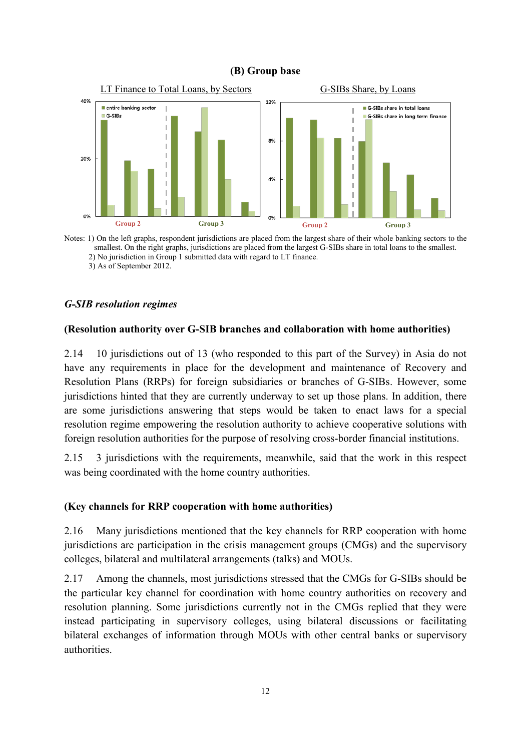#### **(B) Group base**



Notes: 1) On the left graphs, respondent jurisdictions are placed from the largest share of their whole banking sectors to the smallest. On the right graphs, jurisdictions are placed from the largest G-SIBs share in total loans to the smallest. 2) No jurisdiction in Group 1 submitted data with regard to LT finance. 3) As of September 2012.

#### *G-SIB resolution regimes*

#### **(Resolution authority over G-SIB branches and collaboration with home authorities)**

2.14 10 jurisdictions out of 13 (who responded to this part of the Survey) in Asia do not have any requirements in place for the development and maintenance of Recovery and Resolution Plans (RRPs) for foreign subsidiaries or branches of G-SIBs. However, some jurisdictions hinted that they are currently underway to set up those plans. In addition, there are some jurisdictions answering that steps would be taken to enact laws for a special resolution regime empowering the resolution authority to achieve cooperative solutions with foreign resolution authorities for the purpose of resolving cross-border financial institutions.

2.15 3 jurisdictions with the requirements, meanwhile, said that the work in this respect was being coordinated with the home country authorities.

#### **(Key channels for RRP cooperation with home authorities)**

2.16 Many jurisdictions mentioned that the key channels for RRP cooperation with home jurisdictions are participation in the crisis management groups (CMGs) and the supervisory colleges, bilateral and multilateral arrangements (talks) and MOUs.

2.17 Among the channels, most jurisdictions stressed that the CMGs for G-SIBs should be the particular key channel for coordination with home country authorities on recovery and resolution planning. Some jurisdictions currently not in the CMGs replied that they were instead participating in supervisory colleges, using bilateral discussions or facilitating bilateral exchanges of information through MOUs with other central banks or supervisory authorities.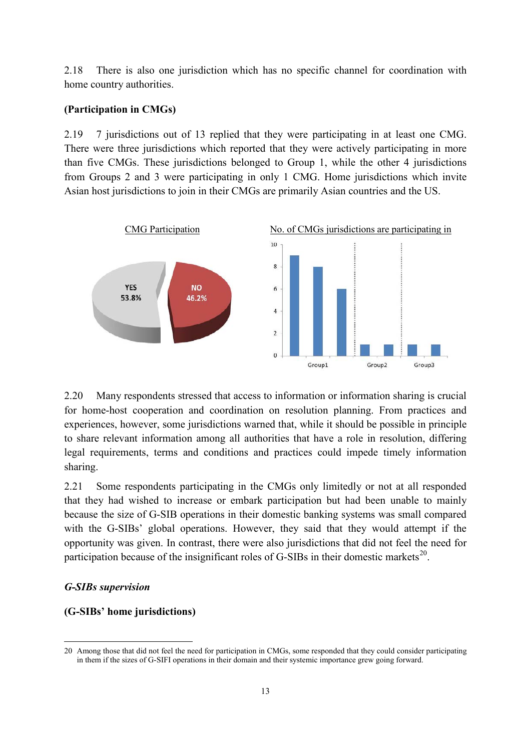2.18 There is also one jurisdiction which has no specific channel for coordination with home country authorities.

#### **(Participation in CMGs)**

2.19 7 jurisdictions out of 13 replied that they were participating in at least one CMG. There were three jurisdictions which reported that they were actively participating in more than five CMGs. These jurisdictions belonged to Group 1, while the other 4 jurisdictions from Groups 2 and 3 were participating in only 1 CMG. Home jurisdictions which invite Asian host jurisdictions to join in their CMGs are primarily Asian countries and the US.



2.20 Many respondents stressed that access to information or information sharing is crucial for home-host cooperation and coordination on resolution planning. From practices and experiences, however, some jurisdictions warned that, while it should be possible in principle to share relevant information among all authorities that have a role in resolution, differing legal requirements, terms and conditions and practices could impede timely information sharing.

2.21 Some respondents participating in the CMGs only limitedly or not at all responded that they had wished to increase or embark participation but had been unable to mainly because the size of G-SIB operations in their domestic banking systems was small compared with the G-SIBs' global operations. However, they said that they would attempt if the opportunity was given. In contrast, there were also jurisdictions that did not feel the need for participation because of the insignificant roles of G-SIBs in their domestic markets<sup>20</sup>.

#### *G-SIBs supervision*

1

#### **(G-SIBs' home jurisdictions)**

<span id="page-19-0"></span><sup>20</sup> Among those that did not feel the need for participation in CMGs, some responded that they could consider participating in them if the sizes of G-SIFI operations in their domain and their systemic importance grew going forward.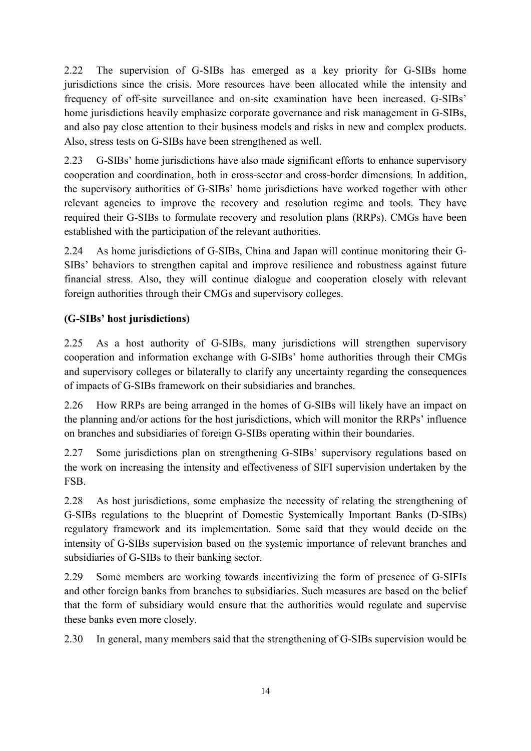2.22 The supervision of G-SIBs has emerged as a key priority for G-SIBs home jurisdictions since the crisis. More resources have been allocated while the intensity and frequency of off-site surveillance and on-site examination have been increased. G-SIBs' home jurisdictions heavily emphasize corporate governance and risk management in G-SIBs, and also pay close attention to their business models and risks in new and complex products. Also, stress tests on G-SIBs have been strengthened as well.

2.23 G-SIBs' home jurisdictions have also made significant efforts to enhance supervisory cooperation and coordination, both in cross-sector and cross-border dimensions. In addition, the supervisory authorities of G-SIBs' home jurisdictions have worked together with other relevant agencies to improve the recovery and resolution regime and tools. They have required their G-SIBs to formulate recovery and resolution plans (RRPs). CMGs have been established with the participation of the relevant authorities.

2.24 As home jurisdictions of G-SIBs, China and Japan will continue monitoring their G-SIBs' behaviors to strengthen capital and improve resilience and robustness against future financial stress. Also, they will continue dialogue and cooperation closely with relevant foreign authorities through their CMGs and supervisory colleges.

# **(G-SIBs' host jurisdictions)**

2.25 As a host authority of G-SIBs, many jurisdictions will strengthen supervisory cooperation and information exchange with G-SIBs' home authorities through their CMGs and supervisory colleges or bilaterally to clarify any uncertainty regarding the consequences of impacts of G-SIBs framework on their subsidiaries and branches.

2.26 How RRPs are being arranged in the homes of G-SIBs will likely have an impact on the planning and/or actions for the host jurisdictions, which will monitor the RRPs' influence on branches and subsidiaries of foreign G-SIBs operating within their boundaries.

2.27 Some jurisdictions plan on strengthening G-SIBs' supervisory regulations based on the work on increasing the intensity and effectiveness of SIFI supervision undertaken by the FSB.

2.28 As host jurisdictions, some emphasize the necessity of relating the strengthening of G-SIBs regulations to the blueprint of Domestic Systemically Important Banks (D-SIBs) regulatory framework and its implementation. Some said that they would decide on the intensity of G-SIBs supervision based on the systemic importance of relevant branches and subsidiaries of G-SIBs to their banking sector.

2.29 Some members are working towards incentivizing the form of presence of G-SIFIs and other foreign banks from branches to subsidiaries. Such measures are based on the belief that the form of subsidiary would ensure that the authorities would regulate and supervise these banks even more closely.

2.30 In general, many members said that the strengthening of G-SIBs supervision would be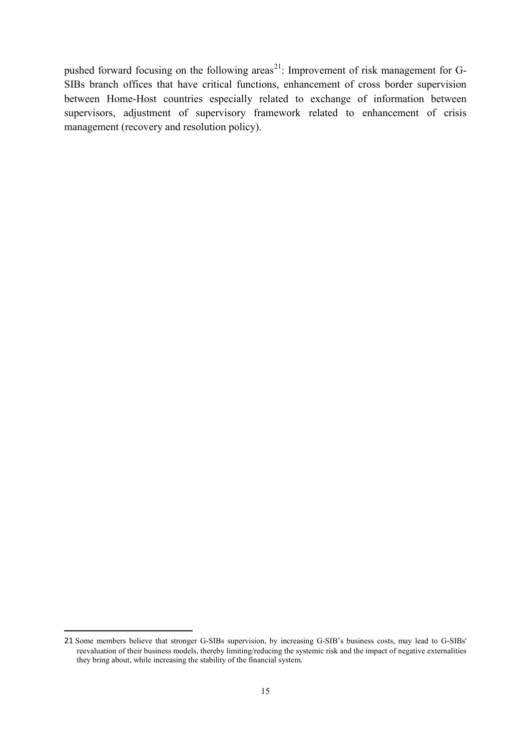pushed forward focusing on the following areas<sup>21</sup>: Improvement of risk management for G-SIBs branch offices that have critical functions, enhancement of cross border supervision between Home-Host countries especially related to exchange of information between supervisors, adjustment of supervisory framework related to enhancement of crisis management (recovery and resolution policy).

**.** 

<span id="page-21-0"></span><sup>21</sup> Some members believe that stronger G-SIBs supervision, by increasing G-SIB's business costs, may lead to G-SIBs' reevaluation of their business models, thereby limiting/reducing the systemic risk and the impact of negative externalities they bring about, while increasing the stability of the financial system.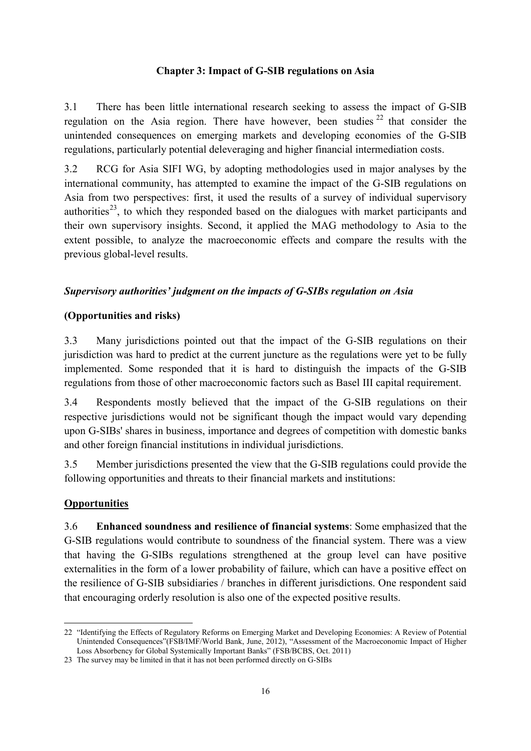#### **Chapter 3: Impact of G-SIB regulations on Asia**

3.1 There has been little international research seeking to assess the impact of G-SIB regulation on the Asia region. There have however, been studies  $22$  that consider the unintended consequences on emerging markets and developing economies of the G-SIB regulations, particularly potential deleveraging and higher financial intermediation costs.

3.2 RCG for Asia SIFI WG, by adopting methodologies used in major analyses by the international community, has attempted to examine the impact of the G-SIB regulations on Asia from two perspectives: first, it used the results of a survey of individual supervisory authorities<sup>[23](#page-22-1)</sup>, to which they responded based on the dialogues with market participants and their own supervisory insights. Second, it applied the MAG methodology to Asia to the extent possible, to analyze the macroeconomic effects and compare the results with the previous global-level results.

## *Supervisory authorities' judgment on the impacts of G-SIBs regulation on Asia*

## **(Opportunities and risks)**

3.3 Many jurisdictions pointed out that the impact of the G-SIB regulations on their jurisdiction was hard to predict at the current juncture as the regulations were yet to be fully implemented. Some responded that it is hard to distinguish the impacts of the G-SIB regulations from those of other macroeconomic factors such as Basel III capital requirement.

3.4 Respondents mostly believed that the impact of the G-SIB regulations on their respective jurisdictions would not be significant though the impact would vary depending upon G-SIBs' shares in business, importance and degrees of competition with domestic banks and other foreign financial institutions in individual jurisdictions.

3.5 Member jurisdictions presented the view that the G-SIB regulations could provide the following opportunities and threats to their financial markets and institutions:

## **Opportunities**

**.** 

3.6 **Enhanced soundness and resilience of financial systems**: Some emphasized that the G-SIB regulations would contribute to soundness of the financial system. There was a view that having the G-SIBs regulations strengthened at the group level can have positive externalities in the form of a lower probability of failure, which can have a positive effect on the resilience of G-SIB subsidiaries / branches in different jurisdictions. One respondent said that encouraging orderly resolution is also one of the expected positive results.

<span id="page-22-0"></span><sup>22</sup> "Identifying the Effects of Regulatory Reforms on Emerging Market and Developing Economies: A Review of Potential Unintended Consequences"(FSB/IMF/World Bank, June, 2012), "Assessment of the Macroeconomic Impact of Higher Loss Absorbency for Global Systemically Important Banks" (FSB/BCBS, Oct. 2011)

<span id="page-22-1"></span><sup>23</sup> The survey may be limited in that it has not been performed directly on G-SIBs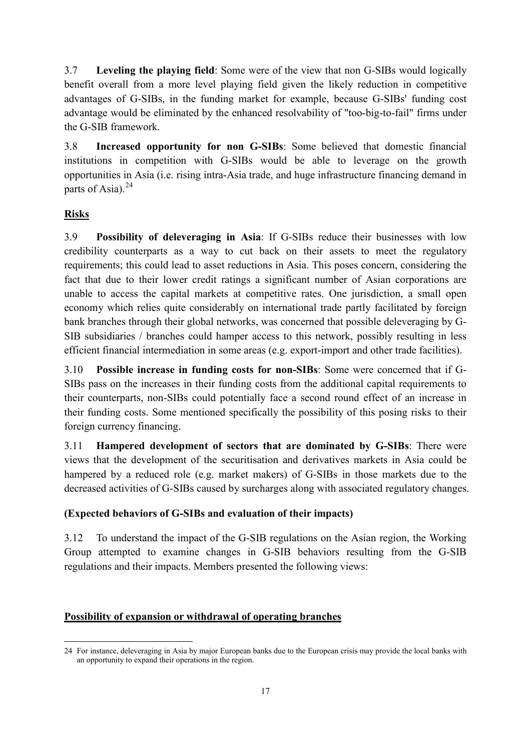3.7 **Leveling the playing field**: Some were of the view that non G-SIBs would logically benefit overall from a more level playing field given the likely reduction in competitive advantages of G-SIBs, in the funding market for example, because G-SIBs' funding cost advantage would be eliminated by the enhanced resolvability of "too-big-to-fail" firms under the G-SIB framework.

3.8 **Increased opportunity for non G-SIBs**: Some believed that domestic financial institutions in competition with G-SIBs would be able to leverage on the growth opportunities in Asia (i.e. rising intra-Asia trade, and huge infrastructure financing demand in parts of Asia). $^{24}$  $^{24}$  $^{24}$ 

# **Risks**

3.9 **Possibility of deleveraging in Asia**: If G-SIBs reduce their businesses with low credibility counterparts as a way to cut back on their assets to meet the regulatory requirements; this could lead to asset reductions in Asia. This poses concern, considering the fact that due to their lower credit ratings a significant number of Asian corporations are unable to access the capital markets at competitive rates. One jurisdiction, a small open economy which relies quite considerably on international trade partly facilitated by foreign bank branches through their global networks, was concerned that possible deleveraging by G-SIB subsidiaries / branches could hamper access to this network, possibly resulting in less efficient financial intermediation in some areas (e.g. export-import and other trade facilities).

3.10 **Possible increase in funding costs for non-SIBs**: Some were concerned that if G-SIBs pass on the increases in their funding costs from the additional capital requirements to their counterparts, non-SIBs could potentially face a second round effect of an increase in their funding costs. Some mentioned specifically the possibility of this posing risks to their foreign currency financing.

3.11 **Hampered development of sectors that are dominated by G-SIBs**: There were views that the development of the securitisation and derivatives markets in Asia could be hampered by a reduced role (e.g. market makers) of G-SIBs in those markets due to the decreased activities of G-SIBs caused by surcharges along with associated regulatory changes.

# **(Expected behaviors of G-SIBs and evaluation of their impacts)**

3.12 To understand the impact of the G-SIB regulations on the Asian region, the Working Group attempted to examine changes in G-SIB behaviors resulting from the G-SIB regulations and their impacts. Members presented the following views:

# **Possibility of expansion or withdrawal of operating branches**

<span id="page-23-0"></span><sup>24</sup> For instance, deleveraging in Asia by major European banks due to the European crisis may provide the local banks with an opportunity to expand their operations in the region. 1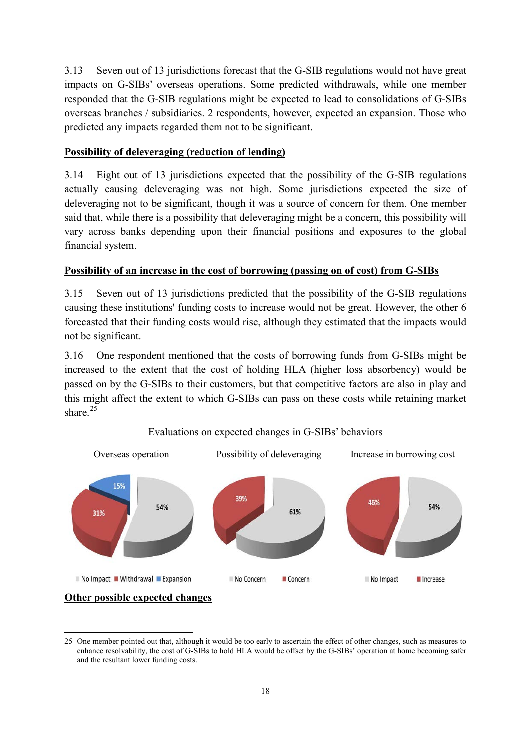3.13 Seven out of 13 jurisdictions forecast that the G-SIB regulations would not have great impacts on G-SIBs' overseas operations. Some predicted withdrawals, while one member responded that the G-SIB regulations might be expected to lead to consolidations of G-SIBs overseas branches / subsidiaries. 2 respondents, however, expected an expansion. Those who predicted any impacts regarded them not to be significant.

# **Possibility of deleveraging (reduction of lending)**

3.14 Eight out of 13 jurisdictions expected that the possibility of the G-SIB regulations actually causing deleveraging was not high. Some jurisdictions expected the size of deleveraging not to be significant, though it was a source of concern for them. One member said that, while there is a possibility that deleveraging might be a concern, this possibility will vary across banks depending upon their financial positions and exposures to the global financial system.

# **Possibility of an increase in the cost of borrowing (passing on of cost) from G-SIBs**

3.15 Seven out of 13 jurisdictions predicted that the possibility of the G-SIB regulations causing these institutions' funding costs to increase would not be great. However, the other 6 forecasted that their funding costs would rise, although they estimated that the impacts would not be significant.

3.16 One respondent mentioned that the costs of borrowing funds from G-SIBs might be increased to the extent that the cost of holding HLA (higher loss absorbency) would be passed on by the G-SIBs to their customers, but that competitive factors are also in play and this might affect the extent to which G-SIBs can pass on these costs while retaining market share<sup>[25](#page-24-0)</sup>



## Evaluations on expected changes in G-SIBs' behaviors

**Other possible expected changes**

<span id="page-24-0"></span><sup>25</sup> One member pointed out that, although it would be too early to ascertain the effect of other changes, such as measures to enhance resolvability, the cost of G-SIBs to hold HLA would be offset by the G-SIBs' operation at home becoming safer and the resultant lower funding costs. **.**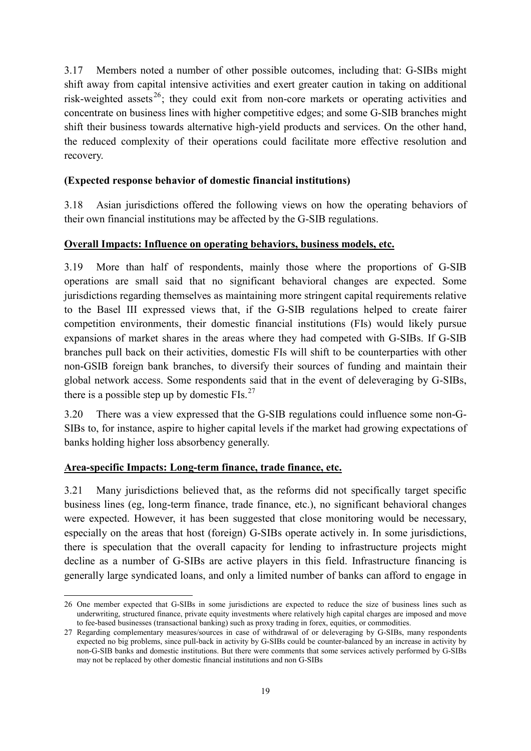3.17 Members noted a number of other possible outcomes, including that: G-SIBs might shift away from capital intensive activities and exert greater caution in taking on additional risk-weighted assets [26](#page-25-0); they could exit from non-core markets or operating activities and concentrate on business lines with higher competitive edges; and some G-SIB branches might shift their business towards alternative high-yield products and services. On the other hand, the reduced complexity of their operations could facilitate more effective resolution and recovery.

## **(Expected response behavior of domestic financial institutions)**

3.18 Asian jurisdictions offered the following views on how the operating behaviors of their own financial institutions may be affected by the G-SIB regulations.

## **Overall Impacts: Influence on operating behaviors, business models, etc.**

3.19 More than half of respondents, mainly those where the proportions of G-SIB operations are small said that no significant behavioral changes are expected. Some jurisdictions regarding themselves as maintaining more stringent capital requirements relative to the Basel III expressed views that, if the G-SIB regulations helped to create fairer competition environments, their domestic financial institutions (FIs) would likely pursue expansions of market shares in the areas where they had competed with G-SIBs. If G-SIB branches pull back on their activities, domestic FIs will shift to be counterparties with other non-GSIB foreign bank branches, to diversify their sources of funding and maintain their global network access. Some respondents said that in the event of deleveraging by G-SIBs, there is a possible step up by domestic  $FIs.<sup>27</sup>$  $FIs.<sup>27</sup>$  $FIs.<sup>27</sup>$ 

3.20 There was a view expressed that the G-SIB regulations could influence some non-G-SIBs to, for instance, aspire to higher capital levels if the market had growing expectations of banks holding higher loss absorbency generally.

## **Area-specific Impacts: Long-term finance, trade finance, etc.**

1

3.21 Many jurisdictions believed that, as the reforms did not specifically target specific business lines (eg, long-term finance, trade finance, etc.), no significant behavioral changes were expected. However, it has been suggested that close monitoring would be necessary, especially on the areas that host (foreign) G-SIBs operate actively in. In some jurisdictions, there is speculation that the overall capacity for lending to infrastructure projects might decline as a number of G-SIBs are active players in this field. Infrastructure financing is generally large syndicated loans, and only a limited number of banks can afford to engage in

<span id="page-25-0"></span><sup>26</sup> One member expected that G-SIBs in some jurisdictions are expected to reduce the size of business lines such as underwriting, structured finance, private equity investments where relatively high capital charges are imposed and move to fee-based businesses (transactional banking) such as proxy trading in forex, equities, or commodities.

<span id="page-25-1"></span><sup>27</sup> Regarding complementary measures/sources in case of withdrawal of or deleveraging by G-SIBs, many respondents expected no big problems, since pull-back in activity by G-SIBs could be counter-balanced by an increase in activity by non-G-SIB banks and domestic institutions. But there were comments that some services actively performed by G-SIBs may not be replaced by other domestic financial institutions and non G-SIBs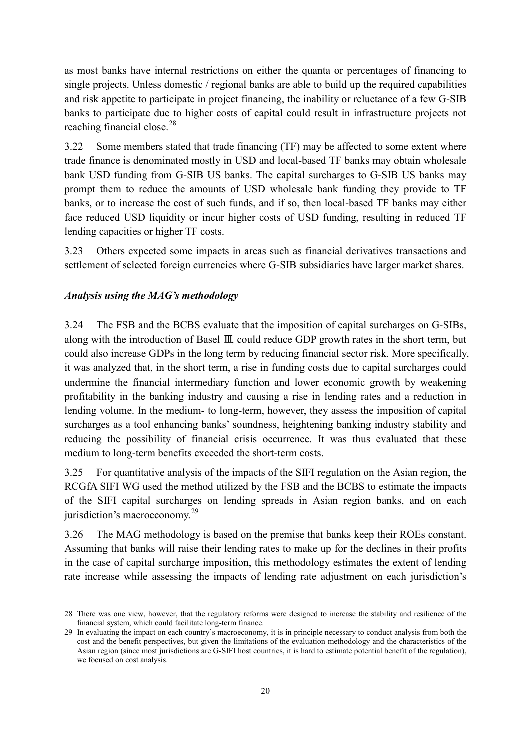as most banks have internal restrictions on either the quanta or percentages of financing to single projects. Unless domestic / regional banks are able to build up the required capabilities and risk appetite to participate in project financing, the inability or reluctance of a few G-SIB banks to participate due to higher costs of capital could result in infrastructure projects not reaching financial close.<sup>[28](#page-26-0)</sup>

3.22 Some members stated that trade financing (TF) may be affected to some extent where trade finance is denominated mostly in USD and local-based TF banks may obtain wholesale bank USD funding from G-SIB US banks. The capital surcharges to G-SIB US banks may prompt them to reduce the amounts of USD wholesale bank funding they provide to TF banks, or to increase the cost of such funds, and if so, then local-based TF banks may either face reduced USD liquidity or incur higher costs of USD funding, resulting in reduced TF lending capacities or higher TF costs.

3.23 Others expected some impacts in areas such as financial derivatives transactions and settlement of selected foreign currencies where G-SIB subsidiaries have larger market shares.

# *Analysis using the MAG's methodology*

3.24 The FSB and the BCBS evaluate that the imposition of capital surcharges on G-SIBs, along with the introduction of Basel Ⅲ, could reduce GDP growth rates in the short term, but could also increase GDPs in the long term by reducing financial sector risk. More specifically, it was analyzed that, in the short term, a rise in funding costs due to capital surcharges could undermine the financial intermediary function and lower economic growth by weakening profitability in the banking industry and causing a rise in lending rates and a reduction in lending volume. In the medium- to long-term, however, they assess the imposition of capital surcharges as a tool enhancing banks' soundness, heightening banking industry stability and reducing the possibility of financial crisis occurrence. It was thus evaluated that these medium to long-term benefits exceeded the short-term costs.

3.25 For quantitative analysis of the impacts of the SIFI regulation on the Asian region, the RCGfA SIFI WG used the method utilized by the FSB and the BCBS to estimate the impacts of the SIFI capital surcharges on lending spreads in Asian region banks, and on each jurisdiction's macroeconomy.<sup>[29](#page-26-1)</sup>

3.26 The MAG methodology is based on the premise that banks keep their ROEs constant. Assuming that banks will raise their lending rates to make up for the declines in their profits in the case of capital surcharge imposition, this methodology estimates the extent of lending rate increase while assessing the impacts of lending rate adjustment on each jurisdiction's

<span id="page-26-0"></span><sup>28</sup> There was one view, however, that the regulatory reforms were designed to increase the stability and resilience of the financial system, which could facilitate long-term finance. **.** 

<span id="page-26-1"></span><sup>29</sup> In evaluating the impact on each country's macroeconomy, it is in principle necessary to conduct analysis from both the cost and the benefit perspectives, but given the limitations of the evaluation methodology and the characteristics of the Asian region (since most jurisdictions are G-SIFI host countries, it is hard to estimate potential benefit of the regulation), we focused on cost analysis.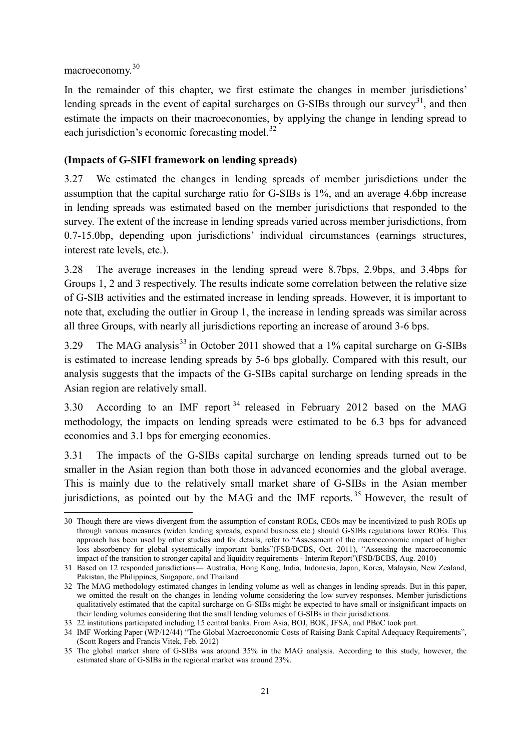macroeconomy.[30](#page-27-0)

In the remainder of this chapter, we first estimate the changes in member jurisdictions' lending spreads in the event of capital surcharges on G-SIBs through our survey<sup>31</sup>, and then estimate the impacts on their macroeconomies, by applying the change in lending spread to each jurisdiction's economic forecasting model. $32$ 

## **(Impacts of G-SIFI framework on lending spreads)**

3.27 We estimated the changes in lending spreads of member jurisdictions under the assumption that the capital surcharge ratio for G-SIBs is 1%, and an average 4.6bp increase in lending spreads was estimated based on the member jurisdictions that responded to the survey. The extent of the increase in lending spreads varied across member jurisdictions, from 0.7-15.0bp, depending upon jurisdictions' individual circumstances (earnings structures, interest rate levels, etc.).

3.28 The average increases in the lending spread were 8.7bps, 2.9bps, and 3.4bps for Groups 1, 2 and 3 respectively. The results indicate some correlation between the relative size of G-SIB activities and the estimated increase in lending spreads. However, it is important to note that, excluding the outlier in Group 1, the increase in lending spreads was similar across all three Groups, with nearly all jurisdictions reporting an increase of around 3-6 bps.

3.29 The MAG analysis<sup>[33](#page-27-3)</sup> in October 2011 showed that a  $1\%$  capital surcharge on G-SIBs is estimated to increase lending spreads by 5-6 bps globally. Compared with this result, our analysis suggests that the impacts of the G-SIBs capital surcharge on lending spreads in the Asian region are relatively small.

3.30 According to an IMF report [34](#page-27-4) released in February 2012 based on the MAG methodology, the impacts on lending spreads were estimated to be 6.3 bps for advanced economies and 3.1 bps for emerging economies.

3.31 The impacts of the G-SIBs capital surcharge on lending spreads turned out to be smaller in the Asian region than both those in advanced economies and the global average. This is mainly due to the relatively small market share of G-SIBs in the Asian member jurisdictions, as pointed out by the MAG and the IMF reports.<sup>[35](#page-27-5)</sup> However, the result of

<span id="page-27-0"></span><sup>30</sup> Though there are views divergent from the assumption of constant ROEs, CEOs may be incentivized to push ROEs up through various measures (widen lending spreads, expand business etc.) should G-SIBs regulations lower ROEs. This approach has been used by other studies and for details, refer to "Assessment of the macroeconomic impact of higher loss absorbency for global systemically important banks"(FSB/BCBS, Oct. 2011), "Assessing the macroeconomic impact of the transition to stronger capital and liquidity requirements - Interim Report"(FSB/BCBS, Aug. 2010) **.** 

<span id="page-27-1"></span><sup>31</sup> Based on 12 responded jurisdictions― Australia, Hong Kong, India, Indonesia, Japan, Korea, Malaysia, New Zealand, Pakistan, the Philippines, Singapore, and Thailand

<span id="page-27-2"></span><sup>32</sup> The MAG methodology estimated changes in lending volume as well as changes in lending spreads. But in this paper, we omitted the result on the changes in lending volume considering the low survey responses. Member jurisdictions qualitatively estimated that the capital surcharge on G-SIBs might be expected to have small or insignificant impacts on their lending volumes considering that the small lending volumes of G-SIBs in their jurisdictions.

<span id="page-27-3"></span><sup>33</sup> 22 institutions participated including 15 central banks. From Asia, BOJ, BOK, JFSA, and PBoC took part.

<span id="page-27-4"></span><sup>34</sup> IMF Working Paper (WP/12/44) "The Global Macroeconomic Costs of Raising Bank Capital Adequacy Requirements", (Scott Rogers and Francis Vitek, Feb. 2012)

<span id="page-27-5"></span><sup>35</sup> The global market share of G-SIBs was around 35% in the MAG analysis. According to this study, however, the estimated share of G-SIBs in the regional market was around 23%.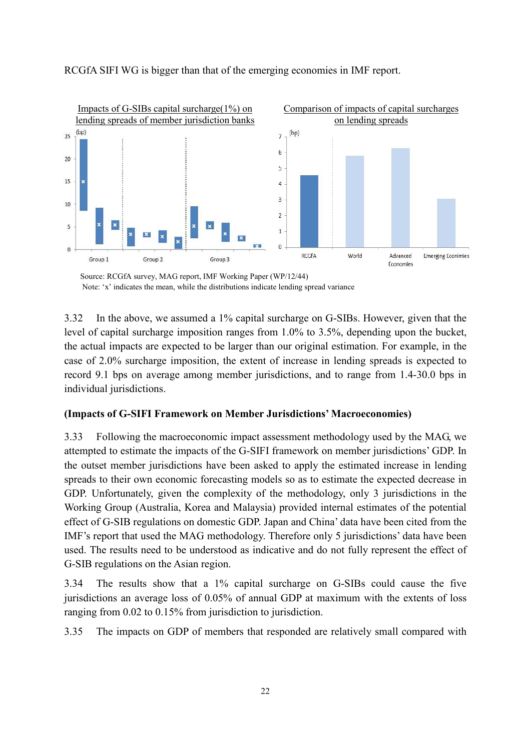

#### RCGfA SIFI WG is bigger than that of the emerging economies in IMF report.

Source: RCGfA survey, MAG report, IMF Working Paper (WP/12/44) Note: 'x' indicates the mean, while the distributions indicate lending spread variance

3.32 In the above, we assumed a 1% capital surcharge on G-SIBs. However, given that the level of capital surcharge imposition ranges from 1.0% to 3.5%, depending upon the bucket, the actual impacts are expected to be larger than our original estimation. For example, in the case of 2.0% surcharge imposition, the extent of increase in lending spreads is expected to record 9.1 bps on average among member jurisdictions, and to range from 1.4-30.0 bps in individual jurisdictions.

#### **(Impacts of G-SIFI Framework on Member Jurisdictions' Macroeconomies)**

3.33 Following the macroeconomic impact assessment methodology used by the MAG, we attempted to estimate the impacts of the G-SIFI framework on member jurisdictions' GDP. In the outset member jurisdictions have been asked to apply the estimated increase in lending spreads to their own economic forecasting models so as to estimate the expected decrease in GDP. Unfortunately, given the complexity of the methodology, only 3 jurisdictions in the Working Group (Australia, Korea and Malaysia) provided internal estimates of the potential effect of G-SIB regulations on domestic GDP. Japan and China' data have been cited from the IMF's report that used the MAG methodology. Therefore only 5 jurisdictions' data have been used. The results need to be understood as indicative and do not fully represent the effect of G-SIB regulations on the Asian region.

3.34 The results show that a 1% capital surcharge on G-SIBs could cause the five jurisdictions an average loss of 0.05% of annual GDP at maximum with the extents of loss ranging from 0.02 to 0.15% from jurisdiction to jurisdiction.

3.35 The impacts on GDP of members that responded are relatively small compared with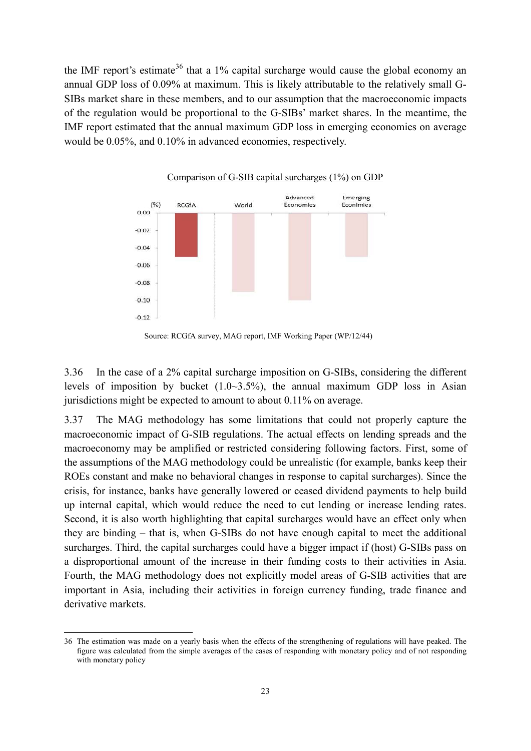the IMF report's estimate<sup>[36](#page-29-0)</sup> that a 1% capital surcharge would cause the global economy an annual GDP loss of 0.09% at maximum. This is likely attributable to the relatively small G-SIBs market share in these members, and to our assumption that the macroeconomic impacts of the regulation would be proportional to the G-SIBs' market shares. In the meantime, the IMF report estimated that the annual maximum GDP loss in emerging economies on average would be 0.05%, and 0.10% in advanced economies, respectively.



Source: RCGfA survey, MAG report, IMF Working Paper (WP/12/44)

3.36 In the case of a 2% capital surcharge imposition on G-SIBs, considering the different levels of imposition by bucket  $(1.0~3.5%)$ , the annual maximum GDP loss in Asian jurisdictions might be expected to amount to about 0.11% on average.

3.37 The MAG methodology has some limitations that could not properly capture the macroeconomic impact of G-SIB regulations. The actual effects on lending spreads and the macroeconomy may be amplified or restricted considering following factors. First, some of the assumptions of the MAG methodology could be unrealistic (for example, banks keep their ROEs constant and make no behavioral changes in response to capital surcharges). Since the crisis, for instance, banks have generally lowered or ceased dividend payments to help build up internal capital, which would reduce the need to cut lending or increase lending rates. Second, it is also worth highlighting that capital surcharges would have an effect only when they are binding – that is, when G-SIBs do not have enough capital to meet the additional surcharges. Third, the capital surcharges could have a bigger impact if (host) G-SIBs pass on a disproportional amount of the increase in their funding costs to their activities in Asia. Fourth, the MAG methodology does not explicitly model areas of G-SIB activities that are important in Asia, including their activities in foreign currency funding, trade finance and derivative markets.

**.** 

<span id="page-29-0"></span><sup>36</sup> The estimation was made on a yearly basis when the effects of the strengthening of regulations will have peaked. The figure was calculated from the simple averages of the cases of responding with monetary policy and of not responding with monetary policy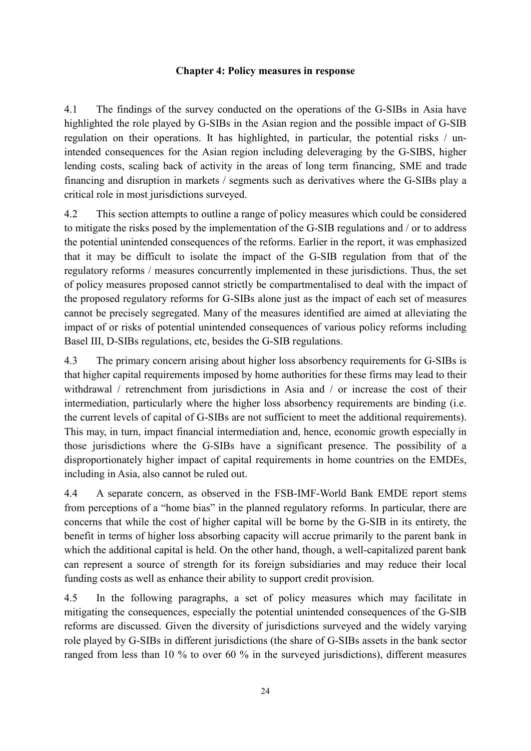#### **Chapter 4: Policy measures in response**

4.1 The findings of the survey conducted on the operations of the G-SIBs in Asia have highlighted the role played by G-SIBs in the Asian region and the possible impact of G-SIB regulation on their operations. It has highlighted, in particular, the potential risks / unintended consequences for the Asian region including deleveraging by the G-SIBS, higher lending costs, scaling back of activity in the areas of long term financing, SME and trade financing and disruption in markets / segments such as derivatives where the G-SIBs play a critical role in most jurisdictions surveyed.

4.2 This section attempts to outline a range of policy measures which could be considered to mitigate the risks posed by the implementation of the G-SIB regulations and / or to address the potential unintended consequences of the reforms. Earlier in the report, it was emphasized that it may be difficult to isolate the impact of the G-SIB regulation from that of the regulatory reforms / measures concurrently implemented in these jurisdictions. Thus, the set of policy measures proposed cannot strictly be compartmentalised to deal with the impact of the proposed regulatory reforms for G-SIBs alone just as the impact of each set of measures cannot be precisely segregated. Many of the measures identified are aimed at alleviating the impact of or risks of potential unintended consequences of various policy reforms including Basel III, D-SIBs regulations, etc, besides the G-SIB regulations.

4.3 The primary concern arising about higher loss absorbency requirements for G-SIBs is that higher capital requirements imposed by home authorities for these firms may lead to their withdrawal / retrenchment from jurisdictions in Asia and / or increase the cost of their intermediation, particularly where the higher loss absorbency requirements are binding (i.e. the current levels of capital of G-SIBs are not sufficient to meet the additional requirements). This may, in turn, impact financial intermediation and, hence, economic growth especially in those jurisdictions where the G-SIBs have a significant presence. The possibility of a disproportionately higher impact of capital requirements in home countries on the EMDEs, including in Asia, also cannot be ruled out.

4.4 A separate concern, as observed in the FSB-IMF-World Bank EMDE report stems from perceptions of a "home bias" in the planned regulatory reforms. In particular, there are concerns that while the cost of higher capital will be borne by the G-SIB in its entirety, the benefit in terms of higher loss absorbing capacity will accrue primarily to the parent bank in which the additional capital is held. On the other hand, though, a well-capitalized parent bank can represent a source of strength for its foreign subsidiaries and may reduce their local funding costs as well as enhance their ability to support credit provision.

4.5 In the following paragraphs, a set of policy measures which may facilitate in mitigating the consequences, especially the potential unintended consequences of the G-SIB reforms are discussed. Given the diversity of jurisdictions surveyed and the widely varying role played by G-SIBs in different jurisdictions (the share of G-SIBs assets in the bank sector ranged from less than 10 % to over 60 % in the surveyed jurisdictions), different measures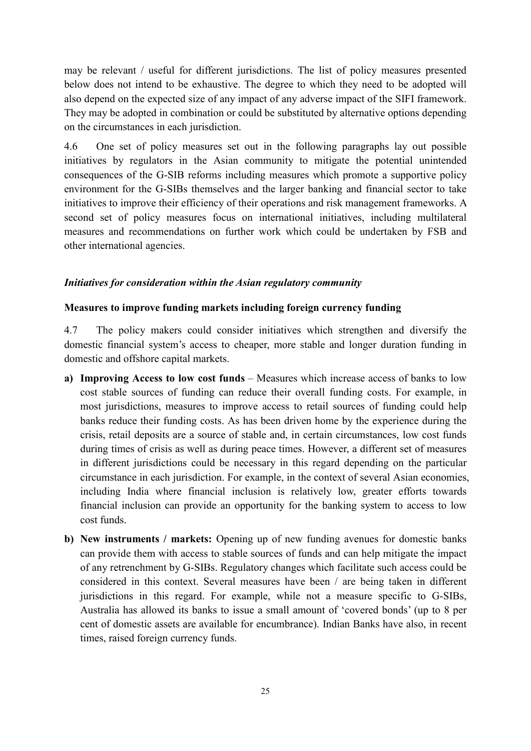may be relevant / useful for different jurisdictions. The list of policy measures presented below does not intend to be exhaustive. The degree to which they need to be adopted will also depend on the expected size of any impact of any adverse impact of the SIFI framework. They may be adopted in combination or could be substituted by alternative options depending on the circumstances in each jurisdiction.

4.6 One set of policy measures set out in the following paragraphs lay out possible initiatives by regulators in the Asian community to mitigate the potential unintended consequences of the G-SIB reforms including measures which promote a supportive policy environment for the G-SIBs themselves and the larger banking and financial sector to take initiatives to improve their efficiency of their operations and risk management frameworks. A second set of policy measures focus on international initiatives, including multilateral measures and recommendations on further work which could be undertaken by FSB and other international agencies.

## *Initiatives for consideration within the Asian regulatory community*

#### **Measures to improve funding markets including foreign currency funding**

4.7 The policy makers could consider initiatives which strengthen and diversify the domestic financial system's access to cheaper, more stable and longer duration funding in domestic and offshore capital markets.

- **a) Improving Access to low cost funds** Measures which increase access of banks to low cost stable sources of funding can reduce their overall funding costs. For example, in most jurisdictions, measures to improve access to retail sources of funding could help banks reduce their funding costs. As has been driven home by the experience during the crisis, retail deposits are a source of stable and, in certain circumstances, low cost funds during times of crisis as well as during peace times. However, a different set of measures in different jurisdictions could be necessary in this regard depending on the particular circumstance in each jurisdiction. For example, in the context of several Asian economies, including India where financial inclusion is relatively low, greater efforts towards financial inclusion can provide an opportunity for the banking system to access to low cost funds.
- **b) New instruments / markets:** Opening up of new funding avenues for domestic banks can provide them with access to stable sources of funds and can help mitigate the impact of any retrenchment by G-SIBs. Regulatory changes which facilitate such access could be considered in this context. Several measures have been / are being taken in different jurisdictions in this regard. For example, while not a measure specific to G-SIBs, Australia has allowed its banks to issue a small amount of 'covered bonds' (up to 8 per cent of domestic assets are available for encumbrance). Indian Banks have also, in recent times, raised foreign currency funds.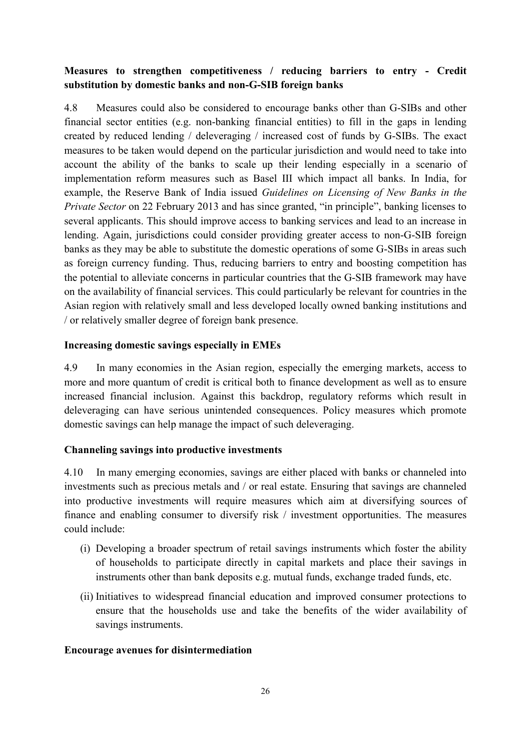# **Measures to strengthen competitiveness / reducing barriers to entry - Credit substitution by domestic banks and non-G-SIB foreign banks**

4.8 Measures could also be considered to encourage banks other than G-SIBs and other financial sector entities (e.g. non-banking financial entities) to fill in the gaps in lending created by reduced lending / deleveraging / increased cost of funds by G-SIBs. The exact measures to be taken would depend on the particular jurisdiction and would need to take into account the ability of the banks to scale up their lending especially in a scenario of implementation reform measures such as Basel III which impact all banks. In India, for example, the Reserve Bank of India issued *Guidelines on Licensing of New Banks in the Private Sector* on 22 February 2013 and has since granted, "in principle", banking licenses to several applicants. This should improve access to banking services and lead to an increase in lending. Again, jurisdictions could consider providing greater access to non-G-SIB foreign banks as they may be able to substitute the domestic operations of some G-SIBs in areas such as foreign currency funding. Thus, reducing barriers to entry and boosting competition has the potential to alleviate concerns in particular countries that the G-SIB framework may have on the availability of financial services. This could particularly be relevant for countries in the Asian region with relatively small and less developed locally owned banking institutions and / or relatively smaller degree of foreign bank presence.

#### **Increasing domestic savings especially in EMEs**

4.9 In many economies in the Asian region, especially the emerging markets, access to more and more quantum of credit is critical both to finance development as well as to ensure increased financial inclusion. Against this backdrop, regulatory reforms which result in deleveraging can have serious unintended consequences. Policy measures which promote domestic savings can help manage the impact of such deleveraging.

## **Channeling savings into productive investments**

4.10 In many emerging economies, savings are either placed with banks or channeled into investments such as precious metals and / or real estate. Ensuring that savings are channeled into productive investments will require measures which aim at diversifying sources of finance and enabling consumer to diversify risk / investment opportunities. The measures could include:

- (i) Developing a broader spectrum of retail savings instruments which foster the ability of households to participate directly in capital markets and place their savings in instruments other than bank deposits e.g. mutual funds, exchange traded funds, etc.
- (ii) Initiatives to widespread financial education and improved consumer protections to ensure that the households use and take the benefits of the wider availability of savings instruments.

#### **Encourage avenues for disintermediation**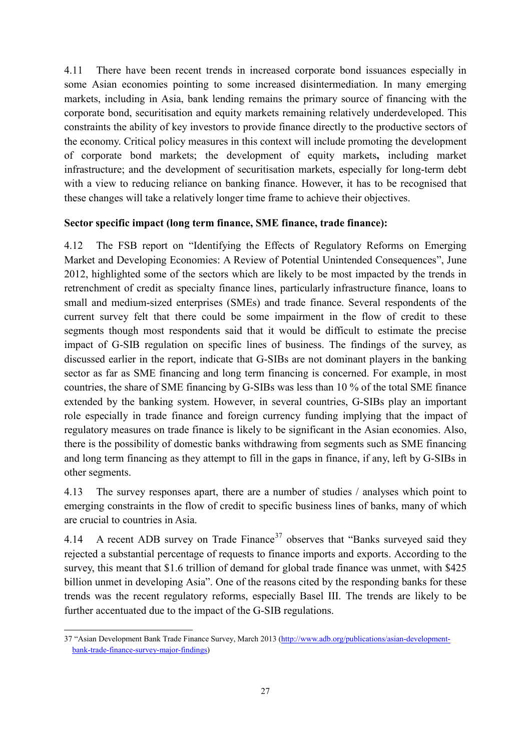4.11 There have been recent trends in increased corporate bond issuances especially in some Asian economies pointing to some increased disintermediation. In many emerging markets, including in Asia, bank lending remains the primary source of financing with the corporate bond, securitisation and equity markets remaining relatively underdeveloped. This constraints the ability of key investors to provide finance directly to the productive sectors of the economy. Critical policy measures in this context will include promoting the development of corporate bond markets; the development of equity markets**,** including market infrastructure; and the development of securitisation markets, especially for long-term debt with a view to reducing reliance on banking finance. However, it has to be recognised that these changes will take a relatively longer time frame to achieve their objectives.

## **Sector specific impact (long term finance, SME finance, trade finance):**

4.12 The FSB report on "Identifying the Effects of Regulatory Reforms on Emerging Market and Developing Economies: A Review of Potential Unintended Consequences", June 2012, highlighted some of the sectors which are likely to be most impacted by the trends in retrenchment of credit as specialty finance lines, particularly infrastructure finance, loans to small and medium-sized enterprises (SMEs) and trade finance. Several respondents of the current survey felt that there could be some impairment in the flow of credit to these segments though most respondents said that it would be difficult to estimate the precise impact of G-SIB regulation on specific lines of business. The findings of the survey, as discussed earlier in the report, indicate that G-SIBs are not dominant players in the banking sector as far as SME financing and long term financing is concerned. For example, in most countries, the share of SME financing by G-SIBs was less than 10 % of the total SME finance extended by the banking system. However, in several countries, G-SIBs play an important role especially in trade finance and foreign currency funding implying that the impact of regulatory measures on trade finance is likely to be significant in the Asian economies. Also, there is the possibility of domestic banks withdrawing from segments such as SME financing and long term financing as they attempt to fill in the gaps in finance, if any, left by G-SIBs in other segments.

4.13 The survey responses apart, there are a number of studies / analyses which point to emerging constraints in the flow of credit to specific business lines of banks, many of which are crucial to countries in Asia.

4.14 A recent ADB survey on Trade Finance<sup>[37](#page-33-0)</sup> observes that "Banks surveyed said they rejected a substantial percentage of requests to finance imports and exports. According to the survey, this meant that \$1.6 trillion of demand for global trade finance was unmet, with \$425 billion unmet in developing Asia". One of the reasons cited by the responding banks for these trends was the recent regulatory reforms, especially Basel III. The trends are likely to be further accentuated due to the impact of the G-SIB regulations.

<span id="page-33-0"></span><sup>37 &</sup>quot;Asian Development Bank Trade Finance Survey, March 2013 [\(http://www.adb.org/publications/asian-development](http://www.adb.org/publications/asian-development-bank-trade-finance-survey-major-findings)[bank-trade-finance-survey-major-findings\)](http://www.adb.org/publications/asian-development-bank-trade-finance-survey-major-findings) 1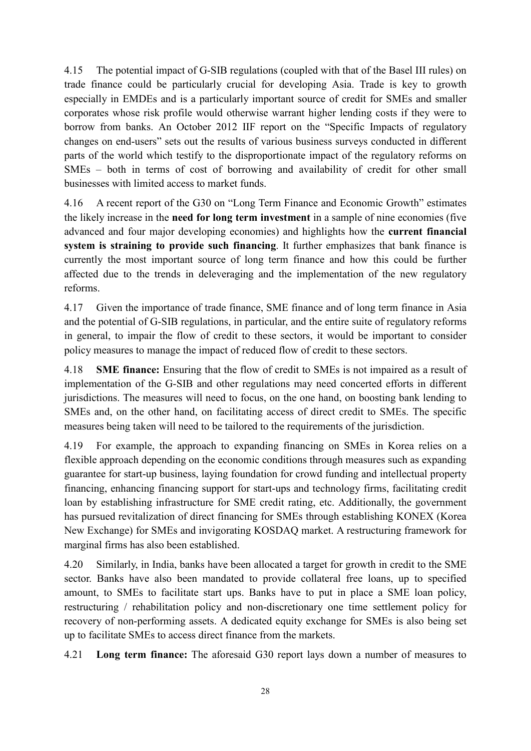4.15 The potential impact of G-SIB regulations (coupled with that of the Basel III rules) on trade finance could be particularly crucial for developing Asia. Trade is key to growth especially in EMDEs and is a particularly important source of credit for SMEs and smaller corporates whose risk profile would otherwise warrant higher lending costs if they were to borrow from banks. An October 2012 IIF report on the "Specific Impacts of regulatory changes on end-users" sets out the results of various business surveys conducted in different parts of the world which testify to the disproportionate impact of the regulatory reforms on SMEs – both in terms of cost of borrowing and availability of credit for other small businesses with limited access to market funds.

4.16 A recent report of the G30 on "Long Term Finance and Economic Growth" estimates the likely increase in the **need for long term investment** in a sample of nine economies (five advanced and four major developing economies) and highlights how the **current financial system is straining to provide such financing**. It further emphasizes that bank finance is currently the most important source of long term finance and how this could be further affected due to the trends in deleveraging and the implementation of the new regulatory reforms.

4.17 Given the importance of trade finance, SME finance and of long term finance in Asia and the potential of G-SIB regulations, in particular, and the entire suite of regulatory reforms in general, to impair the flow of credit to these sectors, it would be important to consider policy measures to manage the impact of reduced flow of credit to these sectors.

4.18 **SME finance:** Ensuring that the flow of credit to SMEs is not impaired as a result of implementation of the G-SIB and other regulations may need concerted efforts in different jurisdictions. The measures will need to focus, on the one hand, on boosting bank lending to SMEs and, on the other hand, on facilitating access of direct credit to SMEs. The specific measures being taken will need to be tailored to the requirements of the jurisdiction.

4.19 For example, the approach to expanding financing on SMEs in Korea relies on a flexible approach depending on the economic conditions through measures such as expanding guarantee for start-up business, laying foundation for crowd funding and intellectual property financing, enhancing financing support for start-ups and technology firms, facilitating credit loan by establishing infrastructure for SME credit rating, etc. Additionally, the government has pursued revitalization of direct financing for SMEs through establishing KONEX (Korea New Exchange) for SMEs and invigorating KOSDAQ market. A restructuring framework for marginal firms has also been established.

4.20 Similarly, in India, banks have been allocated a target for growth in credit to the SME sector. Banks have also been mandated to provide collateral free loans, up to specified amount, to SMEs to facilitate start ups. Banks have to put in place a SME loan policy, restructuring / rehabilitation policy and non-discretionary one time settlement policy for recovery of non-performing assets. A dedicated equity exchange for SMEs is also being set up to facilitate SMEs to access direct finance from the markets.

4.21 **Long term finance:** The aforesaid G30 report lays down a number of measures to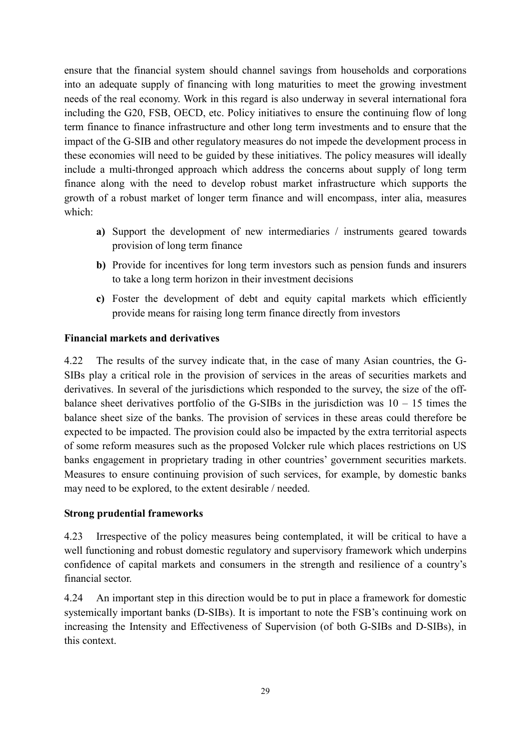ensure that the financial system should channel savings from households and corporations into an adequate supply of financing with long maturities to meet the growing investment needs of the real economy. Work in this regard is also underway in several international fora including the G20, FSB, OECD, etc. Policy initiatives to ensure the continuing flow of long term finance to finance infrastructure and other long term investments and to ensure that the impact of the G-SIB and other regulatory measures do not impede the development process in these economies will need to be guided by these initiatives. The policy measures will ideally include a multi-thronged approach which address the concerns about supply of long term finance along with the need to develop robust market infrastructure which supports the growth of a robust market of longer term finance and will encompass, inter alia, measures which:

- **a)** Support the development of new intermediaries / instruments geared towards provision of long term finance
- **b)** Provide for incentives for long term investors such as pension funds and insurers to take a long term horizon in their investment decisions
- **c)** Foster the development of debt and equity capital markets which efficiently provide means for raising long term finance directly from investors

## **Financial markets and derivatives**

4.22 The results of the survey indicate that, in the case of many Asian countries, the G-SIBs play a critical role in the provision of services in the areas of securities markets and derivatives. In several of the jurisdictions which responded to the survey, the size of the offbalance sheet derivatives portfolio of the G-SIBs in the jurisdiction was  $10 - 15$  times the balance sheet size of the banks. The provision of services in these areas could therefore be expected to be impacted. The provision could also be impacted by the extra territorial aspects of some reform measures such as the proposed Volcker rule which places restrictions on US banks engagement in proprietary trading in other countries' government securities markets. Measures to ensure continuing provision of such services, for example, by domestic banks may need to be explored, to the extent desirable / needed.

#### **Strong prudential frameworks**

4.23 Irrespective of the policy measures being contemplated, it will be critical to have a well functioning and robust domestic regulatory and supervisory framework which underpins confidence of capital markets and consumers in the strength and resilience of a country's financial sector.

4.24 An important step in this direction would be to put in place a framework for domestic systemically important banks (D-SIBs). It is important to note the FSB's continuing work on increasing the Intensity and Effectiveness of Supervision (of both G-SIBs and D-SIBs), in this context.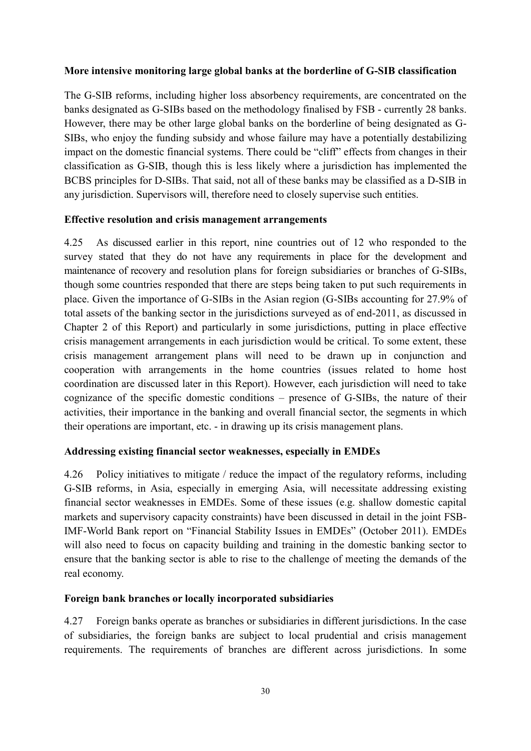#### **More intensive monitoring large global banks at the borderline of G-SIB classification**

The G-SIB reforms, including higher loss absorbency requirements, are concentrated on the banks designated as G-SIBs based on the methodology finalised by FSB - currently 28 banks. However, there may be other large global banks on the borderline of being designated as G-SIBs, who enjoy the funding subsidy and whose failure may have a potentially destabilizing impact on the domestic financial systems. There could be "cliff" effects from changes in their classification as G-SIB, though this is less likely where a jurisdiction has implemented the BCBS principles for D-SIBs. That said, not all of these banks may be classified as a D-SIB in any jurisdiction. Supervisors will, therefore need to closely supervise such entities.

#### **Effective resolution and crisis management arrangements**

4.25 As discussed earlier in this report, nine countries out of 12 who responded to the survey stated that they do not have any requirements in place for the development and maintenance of recovery and resolution plans for foreign subsidiaries or branches of G-SIBs, though some countries responded that there are steps being taken to put such requirements in place. Given the importance of G-SIBs in the Asian region (G-SIBs accounting for 27.9% of total assets of the banking sector in the jurisdictions surveyed as of end-2011, as discussed in Chapter 2 of this Report) and particularly in some jurisdictions, putting in place effective crisis management arrangements in each jurisdiction would be critical. To some extent, these crisis management arrangement plans will need to be drawn up in conjunction and cooperation with arrangements in the home countries (issues related to home host coordination are discussed later in this Report). However, each jurisdiction will need to take cognizance of the specific domestic conditions – presence of G-SIBs, the nature of their activities, their importance in the banking and overall financial sector, the segments in which their operations are important, etc. - in drawing up its crisis management plans.

## **Addressing existing financial sector weaknesses, especially in EMDEs**

4.26 Policy initiatives to mitigate / reduce the impact of the regulatory reforms, including G-SIB reforms, in Asia, especially in emerging Asia, will necessitate addressing existing financial sector weaknesses in EMDEs. Some of these issues (e.g. shallow domestic capital markets and supervisory capacity constraints) have been discussed in detail in the joint FSB-IMF-World Bank report on "Financial Stability Issues in EMDEs" (October 2011). EMDEs will also need to focus on capacity building and training in the domestic banking sector to ensure that the banking sector is able to rise to the challenge of meeting the demands of the real economy.

## **Foreign bank branches or locally incorporated subsidiaries**

4.27 Foreign banks operate as branches or subsidiaries in different jurisdictions. In the case of subsidiaries, the foreign banks are subject to local prudential and crisis management requirements. The requirements of branches are different across jurisdictions. In some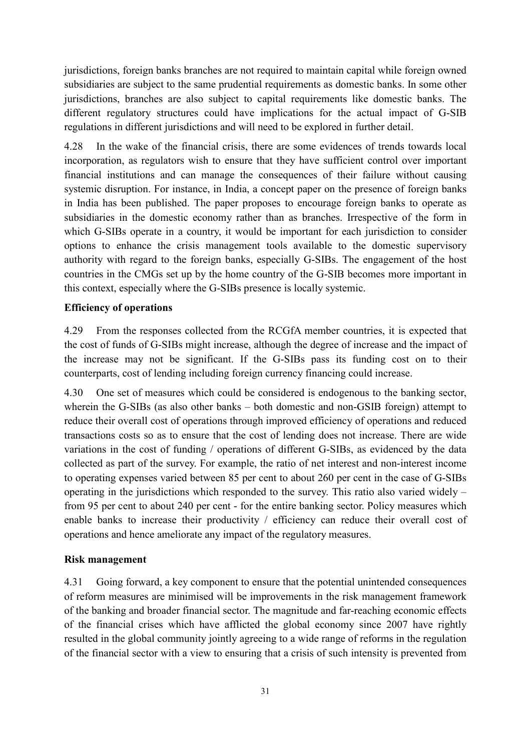jurisdictions, foreign banks branches are not required to maintain capital while foreign owned subsidiaries are subject to the same prudential requirements as domestic banks. In some other jurisdictions, branches are also subject to capital requirements like domestic banks. The different regulatory structures could have implications for the actual impact of G-SIB regulations in different jurisdictions and will need to be explored in further detail.

4.28 In the wake of the financial crisis, there are some evidences of trends towards local incorporation, as regulators wish to ensure that they have sufficient control over important financial institutions and can manage the consequences of their failure without causing systemic disruption. For instance, in India, a concept paper on the presence of foreign banks in India has been published. The paper proposes to encourage foreign banks to operate as subsidiaries in the domestic economy rather than as branches. Irrespective of the form in which G-SIBs operate in a country, it would be important for each jurisdiction to consider options to enhance the crisis management tools available to the domestic supervisory authority with regard to the foreign banks, especially G-SIBs. The engagement of the host countries in the CMGs set up by the home country of the G-SIB becomes more important in this context, especially where the G-SIBs presence is locally systemic.

# **Efficiency of operations**

4.29 From the responses collected from the RCGfA member countries, it is expected that the cost of funds of G-SIBs might increase, although the degree of increase and the impact of the increase may not be significant. If the G-SIBs pass its funding cost on to their counterparts, cost of lending including foreign currency financing could increase.

4.30 One set of measures which could be considered is endogenous to the banking sector, wherein the G-SIBs (as also other banks – both domestic and non-GSIB foreign) attempt to reduce their overall cost of operations through improved efficiency of operations and reduced transactions costs so as to ensure that the cost of lending does not increase. There are wide variations in the cost of funding / operations of different G-SIBs, as evidenced by the data collected as part of the survey. For example, the ratio of net interest and non-interest income to operating expenses varied between 85 per cent to about 260 per cent in the case of G-SIBs operating in the jurisdictions which responded to the survey. This ratio also varied widely – from 95 per cent to about 240 per cent - for the entire banking sector. Policy measures which enable banks to increase their productivity / efficiency can reduce their overall cost of operations and hence ameliorate any impact of the regulatory measures.

## **Risk management**

4.31 Going forward, a key component to ensure that the potential unintended consequences of reform measures are minimised will be improvements in the risk management framework of the banking and broader financial sector. The magnitude and far-reaching economic effects of the financial crises which have afflicted the global economy since 2007 have rightly resulted in the global community jointly agreeing to a wide range of reforms in the regulation of the financial sector with a view to ensuring that a crisis of such intensity is prevented from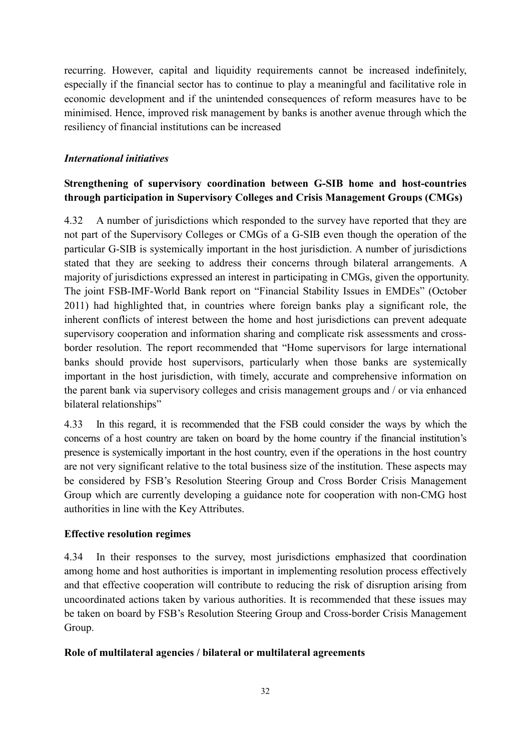recurring. However, capital and liquidity requirements cannot be increased indefinitely, especially if the financial sector has to continue to play a meaningful and facilitative role in economic development and if the unintended consequences of reform measures have to be minimised. Hence, improved risk management by banks is another avenue through which the resiliency of financial institutions can be increased

# *International initiatives*

# **Strengthening of supervisory coordination between G-SIB home and host-countries through participation in Supervisory Colleges and Crisis Management Groups (CMGs)**

4.32 A number of jurisdictions which responded to the survey have reported that they are not part of the Supervisory Colleges or CMGs of a G-SIB even though the operation of the particular G-SIB is systemically important in the host jurisdiction. A number of jurisdictions stated that they are seeking to address their concerns through bilateral arrangements. A majority of jurisdictions expressed an interest in participating in CMGs, given the opportunity. The joint FSB-IMF-World Bank report on "Financial Stability Issues in EMDEs" (October 2011) had highlighted that, in countries where foreign banks play a significant role, the inherent conflicts of interest between the home and host jurisdictions can prevent adequate supervisory cooperation and information sharing and complicate risk assessments and crossborder resolution. The report recommended that "Home supervisors for large international banks should provide host supervisors, particularly when those banks are systemically important in the host jurisdiction, with timely, accurate and comprehensive information on the parent bank via supervisory colleges and crisis management groups and / or via enhanced bilateral relationships"

4.33 In this regard, it is recommended that the FSB could consider the ways by which the concerns of a host country are taken on board by the home country if the financial institution's presence is systemically important in the host country, even if the operations in the host country are not very significant relative to the total business size of the institution. These aspects may be considered by FSB's Resolution Steering Group and Cross Border Crisis Management Group which are currently developing a guidance note for cooperation with non-CMG host authorities in line with the Key Attributes.

## **Effective resolution regimes**

4.34 In their responses to the survey, most jurisdictions emphasized that coordination among home and host authorities is important in implementing resolution process effectively and that effective cooperation will contribute to reducing the risk of disruption arising from uncoordinated actions taken by various authorities. It is recommended that these issues may be taken on board by FSB's Resolution Steering Group and Cross-border Crisis Management Group.

## **Role of multilateral agencies / bilateral or multilateral agreements**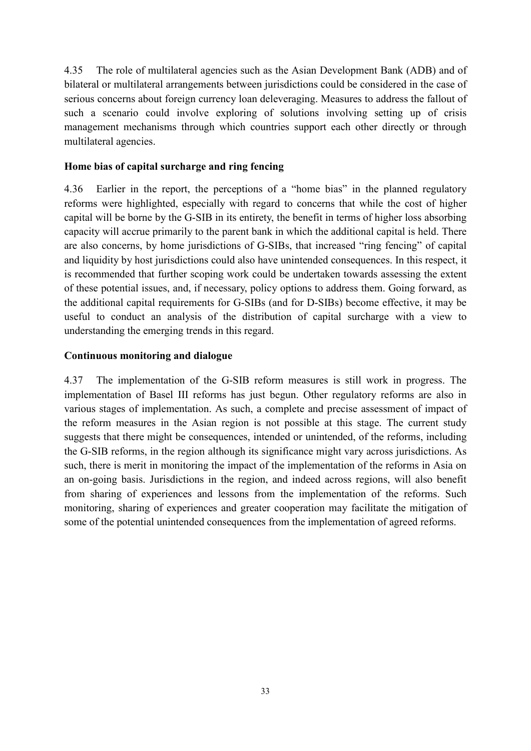4.35 The role of multilateral agencies such as the Asian Development Bank (ADB) and of bilateral or multilateral arrangements between jurisdictions could be considered in the case of serious concerns about foreign currency loan deleveraging. Measures to address the fallout of such a scenario could involve exploring of solutions involving setting up of crisis management mechanisms through which countries support each other directly or through multilateral agencies.

## **Home bias of capital surcharge and ring fencing**

4.36 Earlier in the report, the perceptions of a "home bias" in the planned regulatory reforms were highlighted, especially with regard to concerns that while the cost of higher capital will be borne by the G-SIB in its entirety, the benefit in terms of higher loss absorbing capacity will accrue primarily to the parent bank in which the additional capital is held. There are also concerns, by home jurisdictions of G-SIBs, that increased "ring fencing" of capital and liquidity by host jurisdictions could also have unintended consequences. In this respect, it is recommended that further scoping work could be undertaken towards assessing the extent of these potential issues, and, if necessary, policy options to address them. Going forward, as the additional capital requirements for G-SIBs (and for D-SIBs) become effective, it may be useful to conduct an analysis of the distribution of capital surcharge with a view to understanding the emerging trends in this regard.

## **Continuous monitoring and dialogue**

4.37 The implementation of the G-SIB reform measures is still work in progress. The implementation of Basel III reforms has just begun. Other regulatory reforms are also in various stages of implementation. As such, a complete and precise assessment of impact of the reform measures in the Asian region is not possible at this stage. The current study suggests that there might be consequences, intended or unintended, of the reforms, including the G-SIB reforms, in the region although its significance might vary across jurisdictions. As such, there is merit in monitoring the impact of the implementation of the reforms in Asia on an on-going basis. Jurisdictions in the region, and indeed across regions, will also benefit from sharing of experiences and lessons from the implementation of the reforms. Such monitoring, sharing of experiences and greater cooperation may facilitate the mitigation of some of the potential unintended consequences from the implementation of agreed reforms.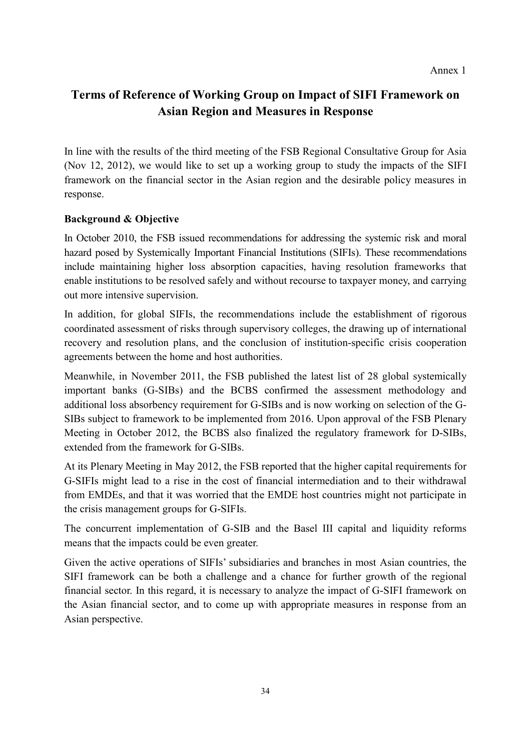# **Terms of Reference of Working Group on Impact of SIFI Framework on Asian Region and Measures in Response**

In line with the results of the third meeting of the FSB Regional Consultative Group for Asia (Nov 12, 2012), we would like to set up a working group to study the impacts of the SIFI framework on the financial sector in the Asian region and the desirable policy measures in response.

# **Background & Objective**

In October 2010, the FSB issued recommendations for addressing the systemic risk and moral hazard posed by Systemically Important Financial Institutions (SIFIs). These recommendations include maintaining higher loss absorption capacities, having resolution frameworks that enable institutions to be resolved safely and without recourse to taxpayer money, and carrying out more intensive supervision.

In addition, for global SIFIs, the recommendations include the establishment of rigorous coordinated assessment of risks through supervisory colleges, the drawing up of international recovery and resolution plans, and the conclusion of institution-specific crisis cooperation agreements between the home and host authorities.

Meanwhile, in November 2011, the FSB published the latest list of 28 global systemically important banks (G-SIBs) and the BCBS confirmed the assessment methodology and additional loss absorbency requirement for G-SIBs and is now working on selection of the G-SIBs subject to framework to be implemented from 2016. Upon approval of the FSB Plenary Meeting in October 2012, the BCBS also finalized the regulatory framework for D-SIBs, extended from the framework for G-SIBs.

At its Plenary Meeting in May 2012, the FSB reported that the higher capital requirements for G-SIFIs might lead to a rise in the cost of financial intermediation and to their withdrawal from EMDEs, and that it was worried that the EMDE host countries might not participate in the crisis management groups for G-SIFIs.

The concurrent implementation of G-SIB and the Basel III capital and liquidity reforms means that the impacts could be even greater.

Given the active operations of SIFIs' subsidiaries and branches in most Asian countries, the SIFI framework can be both a challenge and a chance for further growth of the regional financial sector. In this regard, it is necessary to analyze the impact of G-SIFI framework on the Asian financial sector, and to come up with appropriate measures in response from an Asian perspective.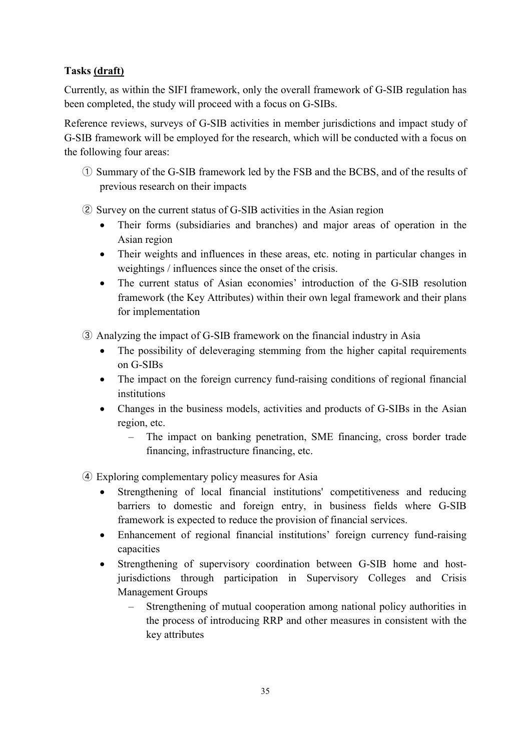# **Tasks (draft)**

Currently, as within the SIFI framework, only the overall framework of G-SIB regulation has been completed, the study will proceed with a focus on G-SIBs.

Reference reviews, surveys of G-SIB activities in member jurisdictions and impact study of G-SIB framework will be employed for the research, which will be conducted with a focus on the following four areas:

- ① Summary of the G-SIB framework led by the FSB and the BCBS, and of the results of previous research on their impacts
- ② Survey on the current status of G-SIB activities in the Asian region
	- Their forms (subsidiaries and branches) and major areas of operation in the Asian region
	- Their weights and influences in these areas, etc. noting in particular changes in weightings / influences since the onset of the crisis.
	- The current status of Asian economies' introduction of the G-SIB resolution framework (the Key Attributes) within their own legal framework and their plans for implementation
- ③ Analyzing the impact of G-SIB framework on the financial industry in Asia
	- The possibility of deleveraging stemming from the higher capital requirements on G-SIBs
	- The impact on the foreign currency fund-raising conditions of regional financial institutions
	- Changes in the business models, activities and products of G-SIBs in the Asian region, etc.
		- ‒ The impact on banking penetration, SME financing, cross border trade financing, infrastructure financing, etc.
- ④ Exploring complementary policy measures for Asia
	- Strengthening of local financial institutions' competitiveness and reducing barriers to domestic and foreign entry, in business fields where G-SIB framework is expected to reduce the provision of financial services.
	- Enhancement of regional financial institutions' foreign currency fund-raising capacities
	- Strengthening of supervisory coordination between G-SIB home and hostjurisdictions through participation in Supervisory Colleges and Crisis Management Groups
		- ‒ Strengthening of mutual cooperation among national policy authorities in the process of introducing RRP and other measures in consistent with the key attributes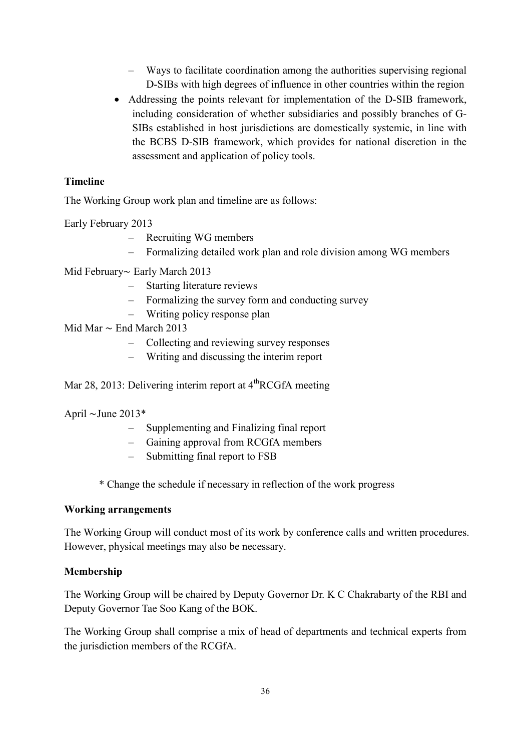- ‒ Ways to facilitate coordination among the authorities supervising regional D-SIBs with high degrees of influence in other countries within the region
- Addressing the points relevant for implementation of the D-SIB framework, including consideration of whether subsidiaries and possibly branches of G-SIBs established in host jurisdictions are domestically systemic, in line with the BCBS D-SIB framework, which provides for national discretion in the assessment and application of policy tools.

## **Timeline**

The Working Group work plan and timeline are as follows:

Early February 2013

- ‒ Recruiting WG members
- Formalizing detailed work plan and role division among WG members
- Mid February∼ Early March 2013
	- ‒ Starting literature reviews
	- ‒ Formalizing the survey form and conducting survey
	- ‒ Writing policy response plan
- Mid Mar ∼ End March 2013
	- ‒ Collecting and reviewing survey responses
	- ‒ Writing and discussing the interim report

Mar 28, 2013: Delivering interim report at  $4<sup>th</sup>RCGfA$  meeting

April ∼June 2013\*

- ‒ Supplementing and Finalizing final report
- ‒ Gaining approval from RCGfA members
- ‒ Submitting final report to FSB
- \* Change the schedule if necessary in reflection of the work progress

#### **Working arrangements**

The Working Group will conduct most of its work by conference calls and written procedures. However, physical meetings may also be necessary.

#### **Membership**

The Working Group will be chaired by Deputy Governor Dr. K C Chakrabarty of the RBI and Deputy Governor Tae Soo Kang of the BOK.

The Working Group shall comprise a mix of head of departments and technical experts from the jurisdiction members of the RCGfA.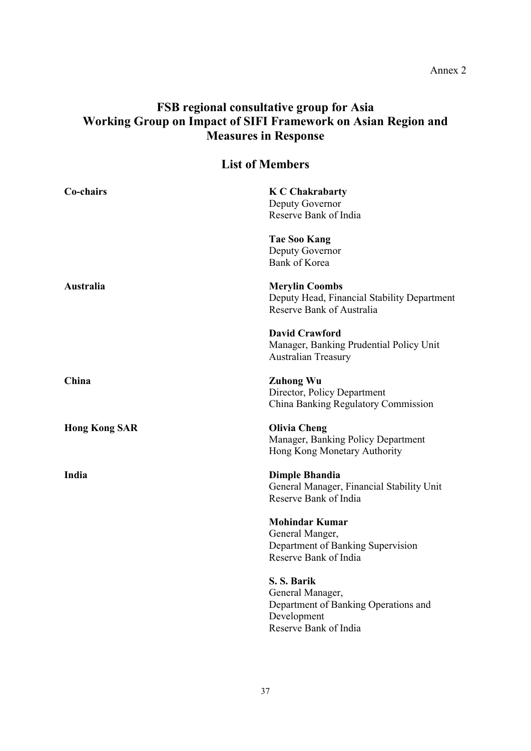#### Annex 2

# **FSB regional consultative group for Asia Working Group on Impact of SIFI Framework on Asian Region and Measures in Response**

| <b>List of Members</b> |                                                                                                                 |  |  |  |
|------------------------|-----------------------------------------------------------------------------------------------------------------|--|--|--|
| Co-chairs              | <b>K C Chakrabarty</b><br>Deputy Governor<br>Reserve Bank of India                                              |  |  |  |
|                        | <b>Tae Soo Kang</b><br>Deputy Governor<br><b>Bank of Korea</b>                                                  |  |  |  |
| Australia              | <b>Merylin Coombs</b><br>Deputy Head, Financial Stability Department<br>Reserve Bank of Australia               |  |  |  |
|                        | <b>David Crawford</b><br>Manager, Banking Prudential Policy Unit<br><b>Australian Treasury</b>                  |  |  |  |
| China                  | <b>Zuhong Wu</b><br>Director, Policy Department<br>China Banking Regulatory Commission                          |  |  |  |
| <b>Hong Kong SAR</b>   | <b>Olivia Cheng</b><br>Manager, Banking Policy Department<br>Hong Kong Monetary Authority                       |  |  |  |
| India                  | <b>Dimple Bhandia</b><br>General Manager, Financial Stability Unit<br>Reserve Bank of India                     |  |  |  |
|                        | <b>Mohindar Kumar</b><br>General Manger,<br>Department of Banking Supervision<br>Reserve Bank of India          |  |  |  |
|                        | S. S. Barik<br>General Manager,<br>Department of Banking Operations and<br>Development<br>Reserve Bank of India |  |  |  |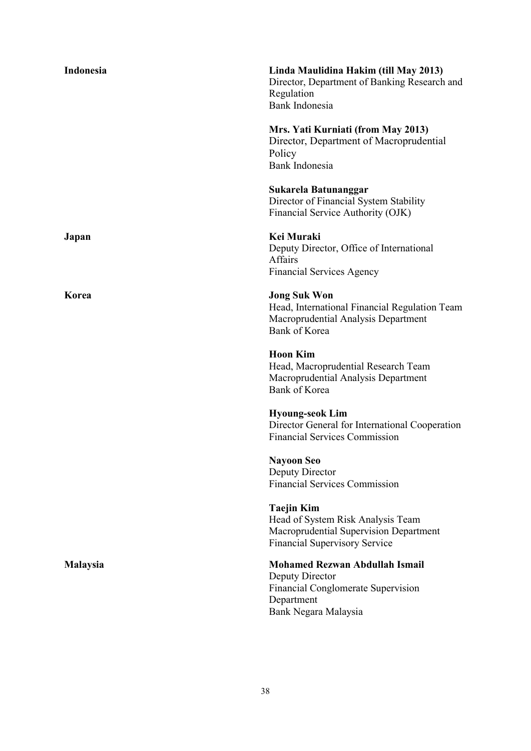| Indonesia       | Linda Maulidina Hakim (till May 2013)<br>Director, Department of Banking Research and<br>Regulation<br>Bank Indonesia                       |
|-----------------|---------------------------------------------------------------------------------------------------------------------------------------------|
|                 | Mrs. Yati Kurniati (from May 2013)<br>Director, Department of Macroprudential<br>Policy<br>Bank Indonesia                                   |
|                 | Sukarela Batunanggar<br>Director of Financial System Stability<br>Financial Service Authority (OJK)                                         |
| Japan           | Kei Muraki<br>Deputy Director, Office of International<br><b>Affairs</b><br><b>Financial Services Agency</b>                                |
| Korea           | <b>Jong Suk Won</b><br>Head, International Financial Regulation Team<br>Macroprudential Analysis Department<br><b>Bank of Korea</b>         |
|                 | <b>Hoon Kim</b><br>Head, Macroprudential Research Team<br>Macroprudential Analysis Department<br><b>Bank of Korea</b>                       |
|                 | <b>Hyoung-seok Lim</b><br>Director General for International Cooperation<br><b>Financial Services Commission</b>                            |
|                 | <b>Nayoon Seo</b><br>Deputy Director<br><b>Financial Services Commission</b>                                                                |
|                 | <b>Taejin Kim</b><br>Head of System Risk Analysis Team<br>Macroprudential Supervision Department<br><b>Financial Supervisory Service</b>    |
| <b>Malaysia</b> | <b>Mohamed Rezwan Abdullah Ismail</b><br>Deputy Director<br><b>Financial Conglomerate Supervision</b><br>Department<br>Bank Negara Malaysia |